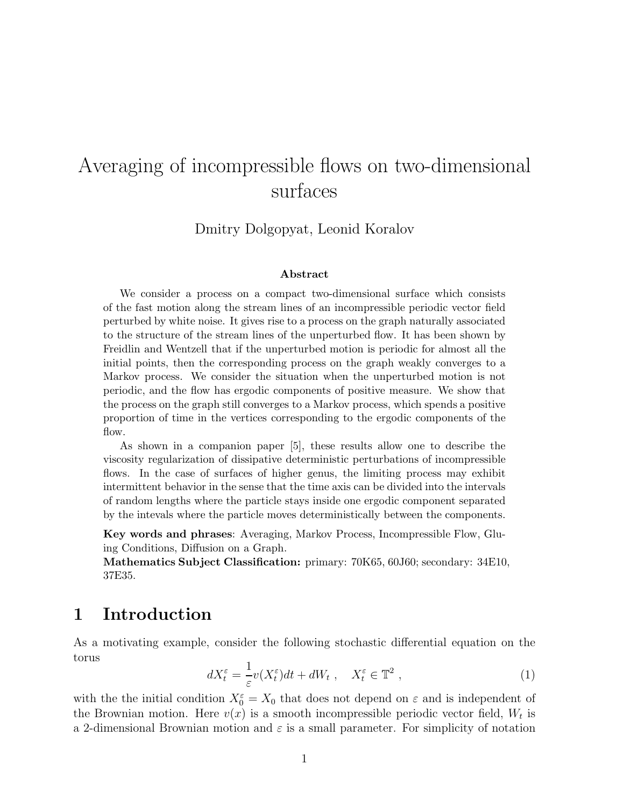# Averaging of incompressible flows on two-dimensional surfaces

Dmitry Dolgopyat, Leonid Koralov

#### **Abstract**

We consider a process on a compact two-dimensional surface which consists of the fast motion along the stream lines of an incompressible periodic vector field perturbed by white noise. It gives rise to a process on the graph naturally associated to the structure of the stream lines of the unperturbed flow. It has been shown by Freidlin and Wentzell that if the unperturbed motion is periodic for almost all the initial points, then the corresponding process on the graph weakly converges to a Markov process. We consider the situation when the unperturbed motion is not periodic, and the flow has ergodic components of positive measure. We show that the process on the graph still converges to a Markov process, which spends a positive proportion of time in the vertices corresponding to the ergodic components of the flow.

As shown in a companion paper [5], these results allow one to describe the viscosity regularization of dissipative deterministic perturbations of incompressible flows. In the case of surfaces of higher genus, the limiting process may exhibit intermittent behavior in the sense that the time axis can be divided into the intervals of random lengths where the particle stays inside one ergodic component separated by the intevals where the particle moves deterministically between the components.

**Key words and phrases**: Averaging, Markov Process, Incompressible Flow, Gluing Conditions, Diffusion on a Graph.

**Mathematics Subject Classification:** primary: 70K65, 60J60; secondary: 34E10, 37E35.

## **1 Introduction**

As a motivating example, consider the following stochastic differential equation on the torus

$$
dX_t^{\varepsilon} = \frac{1}{\varepsilon} v(X_t^{\varepsilon}) dt + dW_t , \quad X_t^{\varepsilon} \in \mathbb{T}^2 , \qquad (1)
$$

with the the initial condition  $X_0^{\varepsilon} = X_0$  that does not depend on  $\varepsilon$  and is independent of the Brownian motion. Here  $v(x)$  is a smooth incompressible periodic vector field,  $W_t$  is a 2-dimensional Brownian motion and  $\varepsilon$  is a small parameter. For simplicity of notation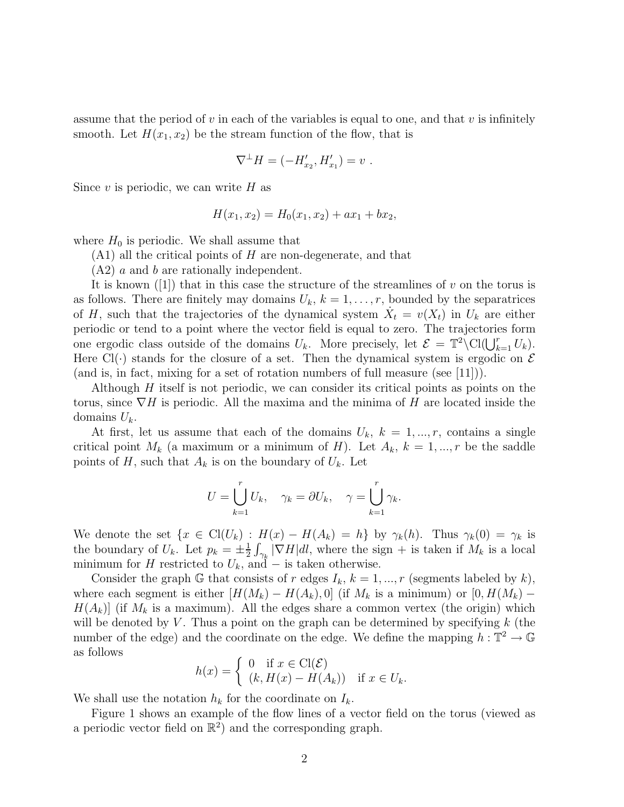assume that the period of v in each of the variables is equal to one, and that v is infinitely smooth. Let  $H(x_1, x_2)$  be the stream function of the flow, that is

$$
\nabla^{\perp} H = (-H'_{x_2}, H'_{x_1}) = v \; .
$$

Since  $v$  is periodic, we can write  $H$  as

$$
H(x_1, x_2) = H_0(x_1, x_2) + ax_1 + bx_2,
$$

where  $H_0$  is periodic. We shall assume that

 $(A1)$  all the critical points of H are non-degenerate, and that

 $(A2)$  a and b are rationally independent.

It is known ([1]) that in this case the structure of the streamlines of v on the torus is as follows. There are finitely may domains  $U_k$ ,  $k = 1, \ldots, r$ , bounded by the separatrices of H, such that the trajectories of the dynamical system  $X_t = v(X_t)$  in  $U_k$  are either periodic or tend to a point where the vector field is equal to zero. The trajectories form one ergodic class outside of the domains  $U_k$ . More precisely, let  $\mathcal{E} = \mathbb{T}^2 \setminus \text{Cl}(\bigcup_{k=1}^r U_k)$ . Here Cl( $\cdot$ ) stands for the closure of a set. Then the dynamical system is ergodic on  $\mathcal E$ (and is, in fact, mixing for a set of rotation numbers of full measure (see  $[11]$ )).

Although  $H$  itself is not periodic, we can consider its critical points as points on the torus, since  $\nabla H$  is periodic. All the maxima and the minima of H are located inside the domains  $U_k$ .

At first, let us assume that each of the domains  $U_k$ ,  $k = 1, ..., r$ , contains a single critical point  $M_k$  (a maximum or a minimum of H). Let  $A_k$ ,  $k = 1, ..., r$  be the saddle points of H, such that  $A_k$  is on the boundary of  $U_k$ . Let

$$
U = \bigcup_{k=1}^{r} U_k, \quad \gamma_k = \partial U_k, \quad \gamma = \bigcup_{k=1}^{r} \gamma_k.
$$

We denote the set  $\{x \in \text{Cl}(U_k) : H(x) - H(A_k) = h\}$  by  $\gamma_k(h)$ . Thus  $\gamma_k(0) = \gamma_k$  is the boundary of  $U_k$ . Let  $p_k = \pm \frac{1}{2} \int_{\gamma_k} |\nabla H| dl$ , where the sign + is taken if  $M_k$  is a local minimum for H restricted to  $U_k$ , and – is taken otherwise.

Consider the graph G that consists of r edges  $I_k$ ,  $k = 1, ..., r$  (segments labeled by k), where each segment is either  $[H(M_k) - H(A_k), 0]$  (if  $M_k$  is a minimum) or  $[0, H(M_k) H(A_k)$  (if  $M_k$  is a maximum). All the edges share a common vertex (the origin) which will be denoted by  $V$ . Thus a point on the graph can be determined by specifying  $k$  (the number of the edge) and the coordinate on the edge. We define the mapping  $h : \mathbb{T}^2 \to \mathbb{G}$ as follows

$$
h(x) = \begin{cases} 0 & \text{if } x \in \text{Cl}(\mathcal{E}) \\ (k, H(x) - H(A_k)) & \text{if } x \in U_k. \end{cases}
$$

We shall use the notation  $h_k$  for the coordinate on  $I_k$ .

Figure 1 shows an example of the flow lines of a vector field on the torus (viewed as a periodic vector field on  $\mathbb{R}^2$  and the corresponding graph.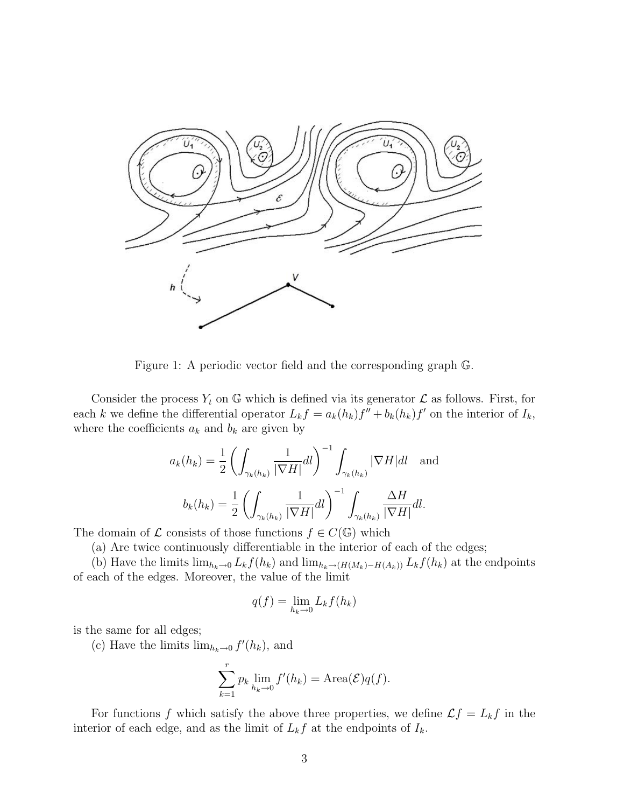

Figure 1: A periodic vector field and the corresponding graph G.

Consider the process  $Y_t$  on G which is defined via its generator  $\mathcal L$  as follows. First, for each k we define the differential operator  $L_k f = a_k(h_k)f'' + b_k(h_k)f'$  on the interior of  $I_k$ , where the coefficients  $a_k$  and  $b_k$  are given by

$$
a_k(h_k) = \frac{1}{2} \left( \int_{\gamma_k(h_k)} \frac{1}{|\nabla H|} dl \right)^{-1} \int_{\gamma_k(h_k)} |\nabla H| dl \text{ and}
$$

$$
b_k(h_k) = \frac{1}{2} \left( \int_{\gamma_k(h_k)} \frac{1}{|\nabla H|} dl \right)^{-1} \int_{\gamma_k(h_k)} \frac{\Delta H}{|\nabla H|} dl.
$$

The domain of  $\mathcal L$  consists of those functions  $f \in C(\mathbb G)$  which

(a) Are twice continuously differentiable in the interior of each of the edges;

(b) Have the limits  $\lim_{h_k\to 0} L_k f(h_k)$  and  $\lim_{h_k\to (H(M_k)-H(A_k))} L_k f(h_k)$  at the endpoints of each of the edges. Moreover, the value of the limit

$$
q(f) = \lim_{h_k \to 0} L_k f(h_k)
$$

is the same for all edges;

(c) Have the limits  $\lim_{h_k \to 0} f'(h_k)$ , and

$$
\sum_{k=1}^{r} p_k \lim_{h_k \to 0} f'(h_k) = \text{Area}(\mathcal{E})q(f).
$$

For functions f which satisfy the above three properties, we define  $\mathcal{L}f = L_kf$  in the interior of each edge, and as the limit of  $L_k f$  at the endpoints of  $I_k$ .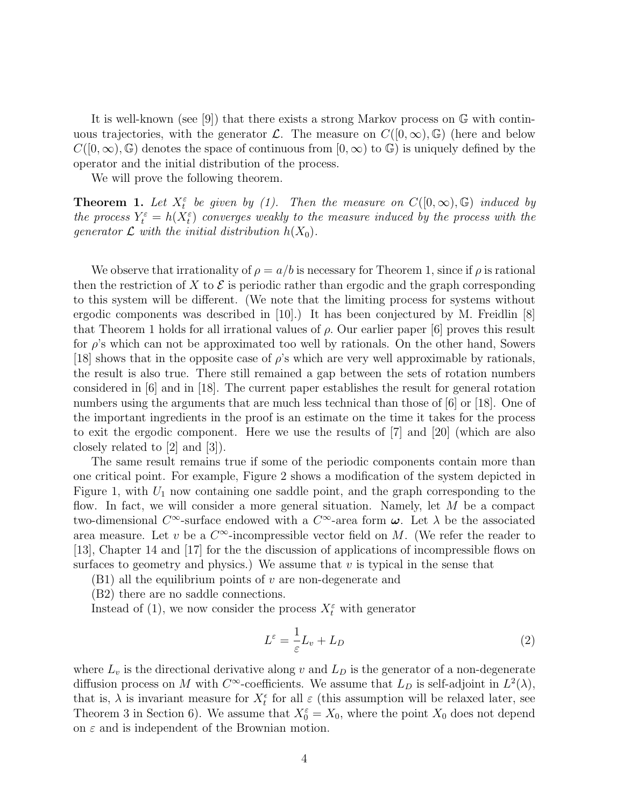It is well-known (see [9]) that there exists a strong Markov process on G with continuous trajectories, with the generator  $\mathcal{L}$ . The measure on  $C([0,\infty),\mathbb{G})$  (here and below  $C([0,\infty),\mathbb{G})$  denotes the space of continuous from  $[0,\infty)$  to  $\mathbb{G})$  is uniquely defined by the operator and the initial distribution of the process.

We will prove the following theorem.

**Theorem 1.** Let  $X_t^{\varepsilon}$  be given by (1). Then the measure on  $C([0,\infty),\mathbb{G})$  induced by the process  $Y_t^{\varepsilon} = h(X_t^{\varepsilon})$  converges weakly to the measure induced by the process with the generator  $\mathcal L$  with the initial distribution  $h(X_0)$ .

We observe that irrationality of  $\rho = a/b$  is necessary for Theorem 1, since if  $\rho$  is rational then the restriction of X to  $\mathcal E$  is periodic rather than ergodic and the graph corresponding to this system will be different. (We note that the limiting process for systems without ergodic components was described in [10].) It has been conjectured by M. Freidlin [8] that Theorem 1 holds for all irrational values of  $\rho$ . Our earlier paper [6] proves this result for  $\rho$ 's which can not be approximated too well by rationals. On the other hand, Sowers [18] shows that in the opposite case of  $\rho$ 's which are very well approximable by rationals, the result is also true. There still remained a gap between the sets of rotation numbers considered in [6] and in [18]. The current paper establishes the result for general rotation numbers using the arguments that are much less technical than those of [6] or [18]. One of the important ingredients in the proof is an estimate on the time it takes for the process to exit the ergodic component. Here we use the results of [7] and [20] (which are also closely related to [2] and [3]).

The same result remains true if some of the periodic components contain more than one critical point. For example, Figure 2 shows a modification of the system depicted in Figure 1, with  $U_1$  now containing one saddle point, and the graph corresponding to the flow. In fact, we will consider a more general situation. Namely, let M be a compact two-dimensional  $C^{\infty}$ -surface endowed with a  $C^{\infty}$ -area form  $\omega$ . Let  $\lambda$  be the associated area measure. Let v be a  $C^{\infty}$ -incompressible vector field on M. (We refer the reader to [13], Chapter 14 and [17] for the the discussion of applications of incompressible flows on surfaces to geometry and physics.) We assume that  $v$  is typical in the sense that

 $(B1)$  all the equilibrium points of v are non-degenerate and

(B2) there are no saddle connections.

Instead of (1), we now consider the process  $X_t^{\varepsilon}$  with generator

$$
L^{\varepsilon} = \frac{1}{\varepsilon} L_v + L_D \tag{2}
$$

where  $L_v$  is the directional derivative along v and  $L_D$  is the generator of a non-degenerate diffusion process on M with  $C^{\infty}$ -coefficients. We assume that  $L_D$  is self-adjoint in  $L^2(\lambda)$ , that is,  $\lambda$  is invariant measure for  $X_t^{\epsilon}$  for all  $\varepsilon$  (this assumption will be relaxed later, see Theorem 3 in Section 6). We assume that  $X_0^{\varepsilon} = X_0$ , where the point  $X_0$  does not depend on  $\varepsilon$  and is independent of the Brownian motion.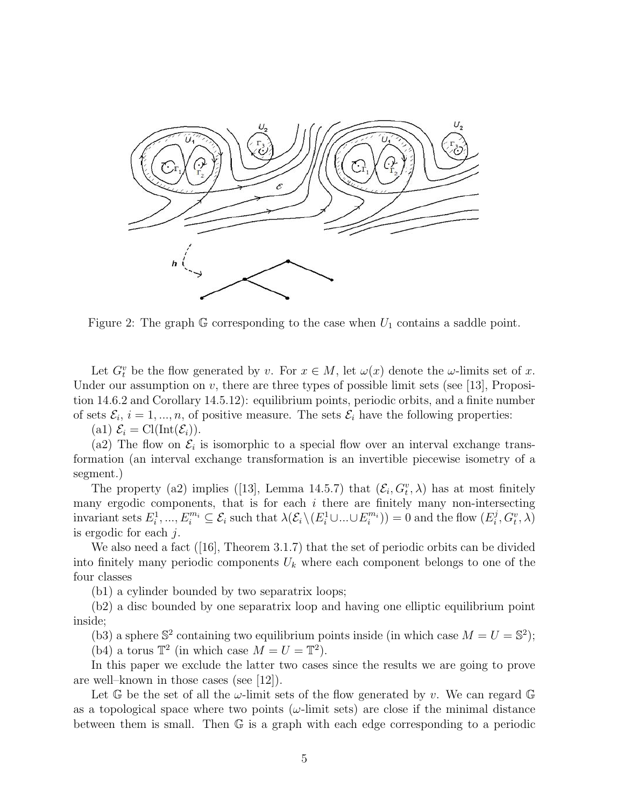

Figure 2: The graph  $\mathbb G$  corresponding to the case when  $U_1$  contains a saddle point.

Let  $G_t^v$  be the flow generated by v. For  $x \in M$ , let  $\omega(x)$  denote the  $\omega$ -limits set of x. Under our assumption on  $v$ , there are three types of possible limit sets (see [13], Proposition 14.6.2 and Corollary 14.5.12): equilibrium points, periodic orbits, and a finite number of sets  $\mathcal{E}_i$ ,  $i = 1, ..., n$ , of positive measure. The sets  $\mathcal{E}_i$  have the following properties:

(a1)  $\mathcal{E}_i = \text{Cl}(\text{Int}(\mathcal{E}_i)).$ 

(a2) The flow on  $\mathcal{E}_i$  is isomorphic to a special flow over an interval exchange transformation (an interval exchange transformation is an invertible piecewise isometry of a segment.)

The property (a2) implies ([13], Lemma 14.5.7) that  $(\mathcal{E}_i, G_i^v, \lambda)$  has at most finitely many ergodic components, that is for each  $i$  there are finitely many non-intersecting  $\text{invariant sets } E_i^1, ..., E_i^{m_i} \subseteq \mathcal{E}_i \text{ such that } \lambda(\mathcal{E}_i \setminus (E_i^1 \cup ... \cup E_i^{m_i})) = 0 \text{ and the flow } (E_i^j, G_i^v, \lambda)$ is ergodic for each j.

We also need a fact ([16], Theorem 3.1.7) that the set of periodic orbits can be divided into finitely many periodic components  $U_k$  where each component belongs to one of the four classes

(b1) a cylinder bounded by two separatrix loops;

(b2) a disc bounded by one separatrix loop and having one elliptic equilibrium point inside;

(b3) a sphere  $\mathbb{S}^2$  containing two equilibrium points inside (in which case  $M = U = \mathbb{S}^2$ );

(b4) a torus  $\mathbb{T}^2$  (in which case  $M = U = \mathbb{T}^2$ ).

In this paper we exclude the latter two cases since the results we are going to prove are well–known in those cases (see [12]).

Let  $\mathbb{G}$  be the set of all the  $\omega$ -limit sets of the flow generated by v. We can regard  $\mathbb{G}$ as a topological space where two points  $(\omega$ -limit sets) are close if the minimal distance between them is small. Then  $\mathbb G$  is a graph with each edge corresponding to a periodic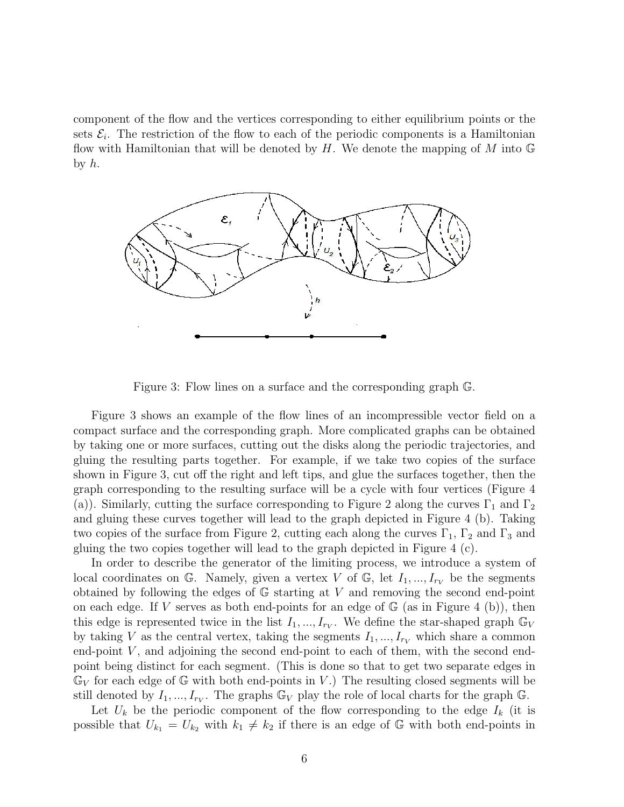component of the flow and the vertices corresponding to either equilibrium points or the sets  $\mathcal{E}_i$ . The restriction of the flow to each of the periodic components is a Hamiltonian flow with Hamiltonian that will be denoted by H. We denote the mapping of M into  $\mathbb{G}$ by  $h$ .



Figure 3: Flow lines on a surface and the corresponding graph G.

Figure 3 shows an example of the flow lines of an incompressible vector field on a compact surface and the corresponding graph. More complicated graphs can be obtained by taking one or more surfaces, cutting out the disks along the periodic trajectories, and gluing the resulting parts together. For example, if we take two copies of the surface shown in Figure 3, cut off the right and left tips, and glue the surfaces together, then the graph corresponding to the resulting surface will be a cycle with four vertices (Figure 4 (a)). Similarly, cutting the surface corresponding to Figure 2 along the curves  $\Gamma_1$  and  $\Gamma_2$ and gluing these curves together will lead to the graph depicted in Figure 4 (b). Taking two copies of the surface from Figure 2, cutting each along the curves  $\Gamma_1$ ,  $\Gamma_2$  and  $\Gamma_3$  and gluing the two copies together will lead to the graph depicted in Figure 4 (c).

In order to describe the generator of the limiting process, we introduce a system of local coordinates on G. Namely, given a vertex V of G, let  $I_1, ..., I_{r_V}$  be the segments obtained by following the edges of G starting at V and removing the second end-point on each edge. If V serves as both end-points for an edge of  $\mathbb{G}$  (as in Figure 4 (b)), then this edge is represented twice in the list  $I_1, ..., I_{r_V}$ . We define the star-shaped graph  $\mathbb{G}_V$ by taking V as the central vertex, taking the segments  $I_1, ..., I_{rV}$  which share a common end-point  $V$ , and adjoining the second end-point to each of them, with the second endpoint being distinct for each segment. (This is done so that to get two separate edges in  $\mathbb{G}_V$  for each edge of  $\mathbb{G}$  with both end-points in V.) The resulting closed segments will be still denoted by  $I_1, ..., I_{r_V}$ . The graphs  $\mathbb{G}_V$  play the role of local charts for the graph  $\mathbb{G}$ .

Let  $U_k$  be the periodic component of the flow corresponding to the edge  $I_k$  (it is possible that  $U_{k_1} = U_{k_2}$  with  $k_1 \neq k_2$  if there is an edge of G with both end-points in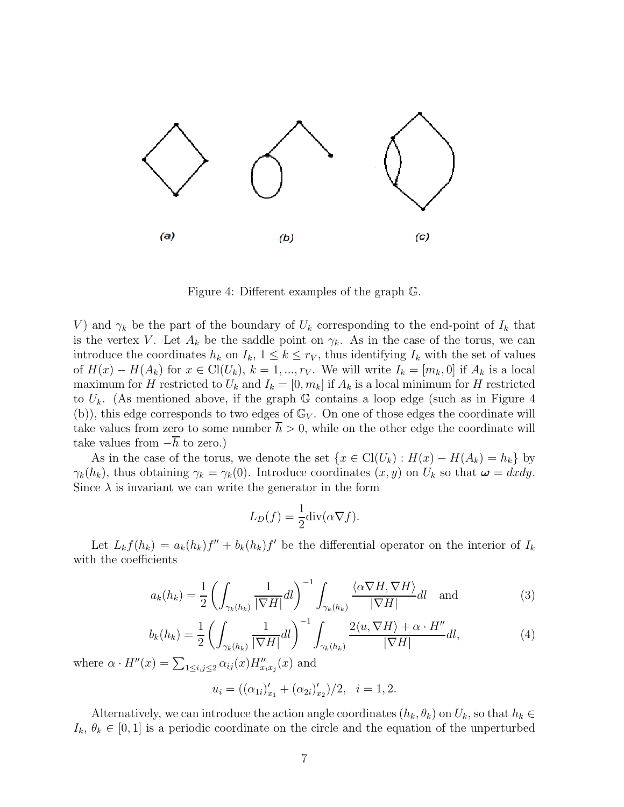

Figure 4: Different examples of the graph G.

V) and  $\gamma_k$  be the part of the boundary of  $U_k$  corresponding to the end-point of  $I_k$  that is the vertex V. Let  $A_k$  be the saddle point on  $\gamma_k$ . As in the case of the torus, we can introduce the coordinates  $h_k$  on  $I_k$ ,  $1 \leq k \leq r_V$ , thus identifying  $I_k$  with the set of values of  $H(x) - H(A_k)$  for  $x \in \mathrm{Cl}(U_k)$ ,  $k = 1, ..., r_V$ . We will write  $I_k = [m_k, 0]$  if  $A_k$  is a local maximum for H restricted to  $U_k$  and  $I_k = [0, m_k]$  if  $A_k$  is a local minimum for H restricted to  $U_k$ . (As mentioned above, if the graph G contains a loop edge (such as in Figure 4 (b)), this edge corresponds to two edges of  $\mathbb{G}_V$ . On one of those edges the coordinate will take values from zero to some number  $h > 0$ , while on the other edge the coordinate will take values from  $-h$  to zero.)

As in the case of the torus, we denote the set  $\{x \in \text{Cl}(U_k) : H(x) - H(A_k) = h_k\}$  by  $\gamma_k(h_k)$ , thus obtaining  $\gamma_k = \gamma_k(0)$ . Introduce coordinates  $(x, y)$  on  $U_k$  so that  $\boldsymbol{\omega} = dxdy$ . Since  $\lambda$  is invariant we can write the generator in the form

$$
L_D(f) = \frac{1}{2} \text{div}(\alpha \nabla f).
$$

Let  $L_k f(h_k) = a_k(h_k)f'' + b_k(h_k)f'$  be the differential operator on the interior of  $I_k$ with the coefficients

$$
a_k(h_k) = \frac{1}{2} \left( \int_{\gamma_k(h_k)} \frac{1}{|\nabla H|} dl \right)^{-1} \int_{\gamma_k(h_k)} \frac{\langle \alpha \nabla H, \nabla H \rangle}{|\nabla H|} dl \quad \text{and} \tag{3}
$$

$$
b_k(h_k) = \frac{1}{2} \left( \int_{\gamma_k(h_k)} \frac{1}{|\nabla H|} dl \right)^{-1} \int_{\gamma_k(h_k)} \frac{2\langle u, \nabla H \rangle + \alpha \cdot H''}{|\nabla H|} dl,
$$
\n(4)

where  $\alpha \cdot H''(x) = \sum_{1 \le i,j \le 2} \alpha_{ij}(x) H''_{x_i x_j}(x)$  and

$$
u_i = ((\alpha_{1i})'_{x_1} + (\alpha_{2i})'_{x_2})/2, \quad i = 1, 2.
$$

Alternatively, we can introduce the action angle coordinates  $(h_k, \theta_k)$  on  $U_k$ , so that  $h_k \in$  $I_k, \theta_k \in [0,1]$  is a periodic coordinate on the circle and the equation of the unperturbed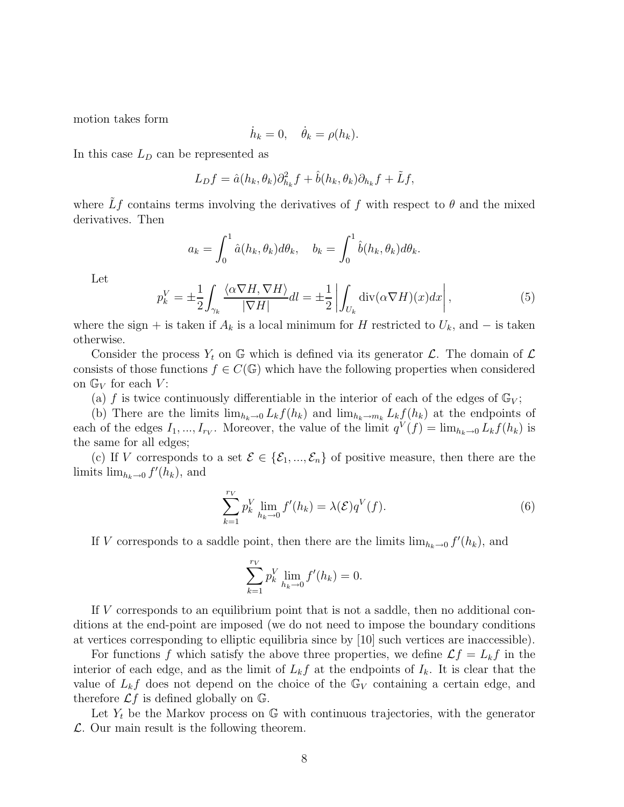motion takes form

$$
\dot{h}_k = 0, \quad \dot{\theta}_k = \rho(h_k).
$$

In this case  $L<sub>D</sub>$  can be represented as

$$
L_D f = \hat{a}(h_k, \theta_k) \partial_{h_k}^2 f + \hat{b}(h_k, \theta_k) \partial_{h_k} f + \tilde{L} f,
$$

where  $\tilde{L}f$  contains terms involving the derivatives of f with respect to  $\theta$  and the mixed derivatives. Then

$$
a_k = \int_0^1 \hat{a}(h_k, \theta_k) d\theta_k, \quad b_k = \int_0^1 \hat{b}(h_k, \theta_k) d\theta_k.
$$

Let

$$
p_k^V = \pm \frac{1}{2} \int_{\gamma_k} \frac{\langle \alpha \nabla H, \nabla H \rangle}{|\nabla H|} dl = \pm \frac{1}{2} \left| \int_{U_k} \text{div}(\alpha \nabla H)(x) dx \right|,
$$
 (5)

where the sign + is taken if  $A_k$  is a local minimum for H restricted to  $U_k$ , and  $-$  is taken otherwise.

Consider the process  $Y_t$  on G which is defined via its generator  $\mathcal{L}$ . The domain of  $\mathcal{L}$ consists of those functions  $f \in C(\mathbb{G})$  which have the following properties when considered on  $\mathbb{G}_V$  for each  $V$ :

(a) f is twice continuously differentiable in the interior of each of the edges of  $\mathbb{G}_V$ ;

(b) There are the limits  $\lim_{h_k\to 0} L_k f(h_k)$  and  $\lim_{h_k\to m_k} L_k f(h_k)$  at the endpoints of each of the edges  $I_1, ..., I_{r_V}$ . Moreover, the value of the limit  $q^V(f) = \lim_{h_k \to 0} L_k f(h_k)$  is the same for all edges;

(c) If V corresponds to a set  $\mathcal{E} \in \{\mathcal{E}_1, ..., \mathcal{E}_n\}$  of positive measure, then there are the limits  $\lim_{h_k \to 0} f'(h_k)$ , and

$$
\sum_{k=1}^{r_V} p_k^V \lim_{h_k \to 0} f'(h_k) = \lambda(\mathcal{E}) q^V(f).
$$
 (6)

If V corresponds to a saddle point, then there are the limits  $\lim_{h_k\to 0} f'(h_k)$ , and

$$
\sum_{k=1}^{r_V} p_k^V \lim_{h_k \to 0} f'(h_k) = 0.
$$

If V corresponds to an equilibrium point that is not a saddle, then no additional conditions at the end-point are imposed (we do not need to impose the boundary conditions at vertices corresponding to elliptic equilibria since by [10] such vertices are inaccessible).

For functions f which satisfy the above three properties, we define  $\mathcal{L}f = L_k f$  in the interior of each edge, and as the limit of  $L_k f$  at the endpoints of  $I_k$ . It is clear that the value of  $L_k f$  does not depend on the choice of the  $\mathbb{G}_V$  containing a certain edge, and therefore  $\mathcal{L}f$  is defined globally on  $\mathbb{G}$ .

Let  $Y_t$  be the Markov process on  $\mathbb{G}$  with continuous trajectories, with the generator  $\mathcal{L}$ . Our main result is the following theorem.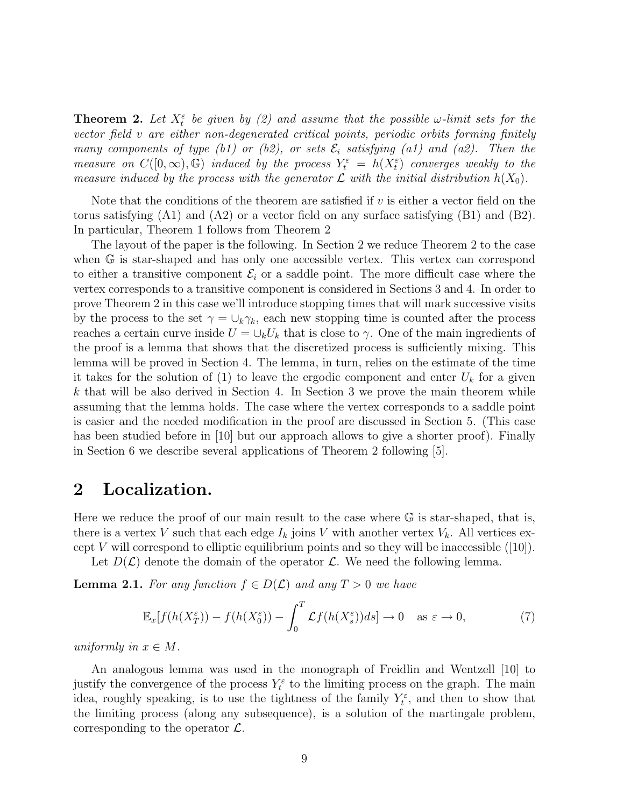**Theorem 2.** Let  $X_t^{\varepsilon}$  be given by (2) and assume that the possible  $\omega$ -limit sets for the vector field v are either non-degenerated critical points, periodic orbits forming finitely many components of type (b1) or (b2), or sets  $\mathcal{E}_i$  satisfying (a1) and (a2). Then the measure on  $C([0,\infty),\mathbb{G})$  induced by the process  $Y_t^{\varepsilon} = h(X_t^{\varepsilon})$  converges weakly to the measure induced by the process with the generator  $\mathcal L$  with the initial distribution  $h(X_0)$ .

Note that the conditions of the theorem are satisfied if  $v$  is either a vector field on the torus satisfying  $(A1)$  and  $(A2)$  or a vector field on any surface satisfying  $(B1)$  and  $(B2)$ . In particular, Theorem 1 follows from Theorem 2

The layout of the paper is the following. In Section 2 we reduce Theorem 2 to the case when G is star-shaped and has only one accessible vertex. This vertex can correspond to either a transitive component  $\mathcal{E}_i$  or a saddle point. The more difficult case where the vertex corresponds to a transitive component is considered in Sections 3 and 4. In order to prove Theorem 2 in this case we'll introduce stopping times that will mark successive visits by the process to the set  $\gamma = \bigcup_k \gamma_k$ , each new stopping time is counted after the process reaches a certain curve inside  $U = \bigcup_k U_k$  that is close to  $\gamma$ . One of the main ingredients of the proof is a lemma that shows that the discretized process is sufficiently mixing. This lemma will be proved in Section 4. The lemma, in turn, relies on the estimate of the time it takes for the solution of (1) to leave the ergodic component and enter  $U_k$  for a given  $k$  that will be also derived in Section 4. In Section 3 we prove the main theorem while assuming that the lemma holds. The case where the vertex corresponds to a saddle point is easier and the needed modification in the proof are discussed in Section 5. (This case has been studied before in [10] but our approach allows to give a shorter proof). Finally in Section 6 we describe several applications of Theorem 2 following [5].

### **2 Localization.**

Here we reduce the proof of our main result to the case where  $\mathbb G$  is star-shaped, that is, there is a vertex V such that each edge  $I_k$  joins V with another vertex  $V_k$ . All vertices except V will correspond to elliptic equilibrium points and so they will be inaccessible  $([10])$ .

Let  $D(\mathcal{L})$  denote the domain of the operator  $\mathcal{L}$ . We need the following lemma.

**Lemma 2.1.** For any function  $f \in D(\mathcal{L})$  and any  $T > 0$  we have

$$
\mathbb{E}_x[f(h(X_T^{\varepsilon})) - f(h(X_0^{\varepsilon})) - \int_0^T \mathcal{L}f(h(X_s^{\varepsilon}))ds] \to 0 \quad \text{as } \varepsilon \to 0,
$$
 (7)

uniformly in  $x \in M$ .

An analogous lemma was used in the monograph of Freidlin and Wentzell [10] to justify the convergence of the process  $Y_t^{\varepsilon}$  to the limiting process on the graph. The main idea, roughly speaking, is to use the tightness of the family  $Y_t^{\varepsilon}$ , and then to show that the limiting process (along any subsequence), is a solution of the martingale problem, corresponding to the operator  $\mathcal{L}$ .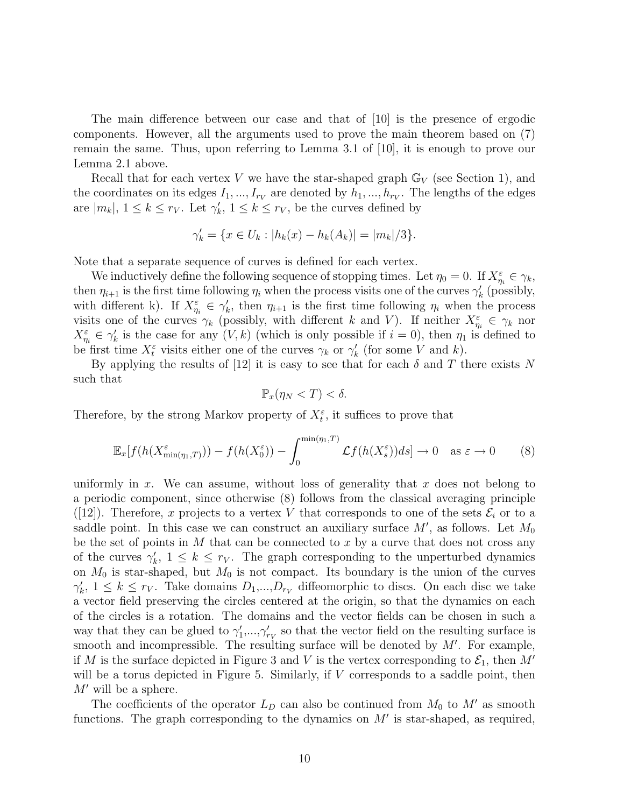The main difference between our case and that of [10] is the presence of ergodic components. However, all the arguments used to prove the main theorem based on (7) remain the same. Thus, upon referring to Lemma 3.1 of [10], it is enough to prove our Lemma 2.1 above.

Recall that for each vertex V we have the star-shaped graph  $\mathbb{G}_V$  (see Section 1), and the coordinates on its edges  $I_1, ..., I_{r_V}$  are denoted by  $h_1, ..., h_{r_V}$ . The lengths of the edges are  $|m_k|, 1 \leq k \leq r_V$ . Let  $\gamma'_k, 1 \leq k \leq r_V$ , be the curves defined by

$$
\gamma'_{k} = \{ x \in U_{k} : |h_{k}(x) - h_{k}(A_{k})| = |m_{k}|/3 \}.
$$

Note that a separate sequence of curves is defined for each vertex.

We inductively define the following sequence of stopping times. Let  $\eta_0 = 0$ . If  $X_{\eta_i}^{\varepsilon} \in \gamma_k$ , then  $\eta_{i+1}$  is the first time following  $\eta_i$  when the process visits one of the curves  $\gamma'_k$  (possibly, with different k). If  $X_{\eta_i}^{\varepsilon} \in \gamma_k'$ , then  $\eta_{i+1}$  is the first time following  $\eta_i$  when the process visits one of the curves  $\gamma_k$  (possibly, with different k and V). If neither  $X_{\eta_i}^{\varepsilon} \in \gamma_k$  nor  $X_{\eta_i}^{\varepsilon} \in \gamma_k'$  is the case for any  $(V, k)$  (which is only possible if  $i = 0$ ), then  $\eta_1$  is defined to be first time  $X_t^{\varepsilon}$  visits either one of the curves  $\gamma_k$  or  $\gamma'_k$  (for some V and k).

By applying the results of [12] it is easy to see that for each  $\delta$  and T there exists N such that

$$
\mathbb{P}_x(\eta_N < T) < \delta.
$$

Therefore, by the strong Markov property of  $X_t^{\varepsilon}$ , it suffices to prove that

$$
\mathbb{E}_x[f(h(X_{\min(\eta_1,T)}^{\varepsilon})) - f(h(X_0^{\varepsilon})) - \int_0^{\min(\eta_1,T)} \mathcal{L}f(h(X_s^{\varepsilon}))ds] \to 0 \quad \text{as } \varepsilon \to 0 \tag{8}
$$

uniformly in x. We can assume, without loss of generality that x does not belong to a periodic component, since otherwise (8) follows from the classical averaging principle ([12]). Therefore, x projects to a vertex V that corresponds to one of the sets  $\mathcal{E}_i$  or to a saddle point. In this case we can construct an auxiliary surface  $M'$ , as follows. Let  $M_0$ be the set of points in  $M$  that can be connected to  $x$  by a curve that does not cross any of the curves  $\gamma'_k$ ,  $1 \leq k \leq r_V$ . The graph corresponding to the unperturbed dynamics on  $M_0$  is star-shaped, but  $M_0$  is not compact. Its boundary is the union of the curves  $\gamma'_k$ ,  $1 \leq k \leq r_V$ . Take domains  $D_1,...,D_{r_V}$  diffeomorphic to discs. On each disc we take a vector field preserving the circles centered at the origin, so that the dynamics on each of the circles is a rotation. The domains and the vector fields can be chosen in such a way that they can be glued to  $\gamma'_1,...,\gamma'_{r_V}$  so that the vector field on the resulting surface is smooth and incompressible. The resulting surface will be denoted by  $M'$ . For example, if M is the surface depicted in Figure 3 and V is the vertex corresponding to  $\mathcal{E}_1$ , then M' will be a torus depicted in Figure 5. Similarly, if  $V$  corresponds to a saddle point, then  $M'$  will be a sphere.

The coefficients of the operator  $L_D$  can also be continued from  $M_0$  to  $M'$  as smooth functions. The graph corresponding to the dynamics on  $M'$  is star-shaped, as required,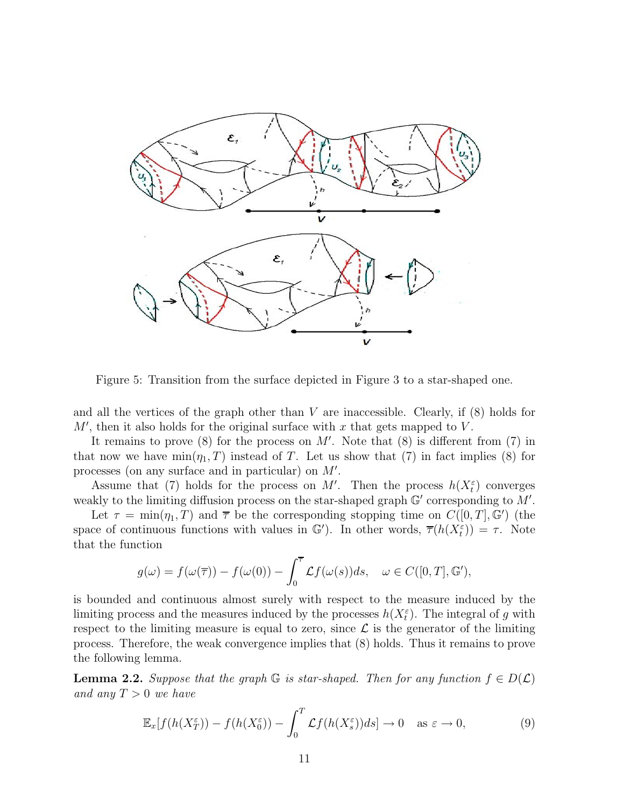

Figure 5: Transition from the surface depicted in Figure 3 to a star-shaped one.

and all the vertices of the graph other than  $V$  are inaccessible. Clearly, if  $(8)$  holds for  $M'$ , then it also holds for the original surface with x that gets mapped to V.

It remains to prove  $(8)$  for the process on M'. Note that  $(8)$  is different from  $(7)$  in that now we have  $\min(\eta_1, T)$  instead of T. Let us show that (7) in fact implies (8) for processes (on any surface and in particular) on M .

Assume that (7) holds for the process on M'. Then the process  $h(X_t^{\varepsilon})$  converges weakly to the limiting diffusion process on the star-shaped graph  $\mathbb{G}'$  corresponding to  $M'$ .

Let  $\tau = \min(\eta_1, T)$  and  $\bar{\tau}$  be the corresponding stopping time on  $C([0, T], \mathbb{G}')$  (the space of continuous functions with values in  $\mathbb{G}'$ ). In other words,  $\overline{\tau}(h(X_t^{\varepsilon})) = \tau$ . Note that the function

$$
g(\omega) = f(\omega(\overline{\tau})) - f(\omega(0)) - \int_0^{\overline{\tau}} \mathcal{L}f(\omega(s))ds, \quad \omega \in C([0, T], \mathbb{G}'),
$$

is bounded and continuous almost surely with respect to the measure induced by the limiting process and the measures induced by the processes  $h(X_t^{\varepsilon})$ . The integral of g with respect to the limiting measure is equal to zero, since  $\mathcal L$  is the generator of the limiting process. Therefore, the weak convergence implies that (8) holds. Thus it remains to prove the following lemma.

**Lemma 2.2.** Suppose that the graph G is star-shaped. Then for any function  $f \in D(\mathcal{L})$ and any  $T > 0$  we have

$$
\mathbb{E}_x[f(h(X_T^{\varepsilon})) - f(h(X_0^{\varepsilon})) - \int_0^T \mathcal{L}f(h(X_s^{\varepsilon}))ds] \to 0 \quad \text{as } \varepsilon \to 0,
$$
 (9)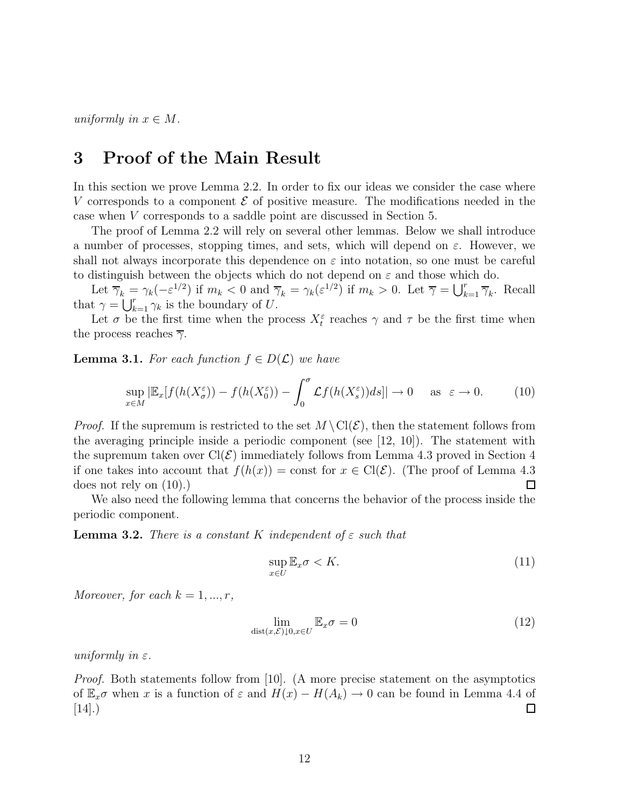uniformly in  $x \in M$ .

### **3 Proof of the Main Result**

In this section we prove Lemma 2.2. In order to fix our ideas we consider the case where V corresponds to a component  $\mathcal E$  of positive measure. The modifications needed in the case when V corresponds to a saddle point are discussed in Section 5.

The proof of Lemma 2.2 will rely on several other lemmas. Below we shall introduce a number of processes, stopping times, and sets, which will depend on  $\varepsilon$ . However, we shall not always incorporate this dependence on  $\varepsilon$  into notation, so one must be careful to distinguish between the objects which do not depend on  $\varepsilon$  and those which do.

Let  $\overline{\gamma}_k = \gamma_k(-\varepsilon^{1/2})$  if  $m_k < 0$  and  $\overline{\gamma}_k = \gamma_k(\varepsilon^{1/2})$  if  $m_k > 0$ . Let  $\overline{\gamma} = \bigcup_{k=1}^r \overline{\gamma}_k$ . Recall that  $\gamma = \bigcup_{k=1}^r \gamma_k$  is the boundary of U.

Let  $\sigma$  be the first time when the process  $X_t^{\varepsilon}$  reaches  $\gamma$  and  $\tau$  be the first time when the process reaches  $\overline{\gamma}$ .

**Lemma 3.1.** For each function  $f \in D(\mathcal{L})$  we have

$$
\sup_{x \in M} |\mathbb{E}_x[f(h(X^\varepsilon_\sigma)) - f(h(X^\varepsilon_0)) - \int_0^\sigma \mathcal{L}f(h(X^\varepsilon_s))ds]| \to 0 \quad \text{as } \varepsilon \to 0. \tag{10}
$$

*Proof.* If the supremum is restricted to the set  $M \setminus \text{Cl}(\mathcal{E})$ , then the statement follows from the averaging principle inside a periodic component (see [12, 10]). The statement with the supremum taken over  $Cl(\mathcal{E})$  immediately follows from Lemma 4.3 proved in Section 4 if one takes into account that  $f(h(x)) = \text{const}$  for  $x \in \text{Cl}(\mathcal{E})$ . (The proof of Lemma 4.3) does not rely on (10).) □

We also need the following lemma that concerns the behavior of the process inside the periodic component.

**Lemma 3.2.** There is a constant K independent of  $\varepsilon$  such that

$$
\sup_{x \in U} \mathbb{E}_x \sigma < K. \tag{11}
$$

Moreover, for each  $k = 1, ..., r$ ,

$$
\lim_{\text{dist}(x,\mathcal{E}) \downarrow 0, x \in U} \mathbb{E}_x \sigma = 0 \tag{12}
$$

uniformly in  $\varepsilon$ .

Proof. Both statements follow from [10]. (A more precise statement on the asymptotics of  $\mathbb{E}_x \sigma$  when x is a function of  $\varepsilon$  and  $H(x) - H(A_k) \to 0$  can be found in Lemma 4.4 of  $|14|$ .)  $\Box$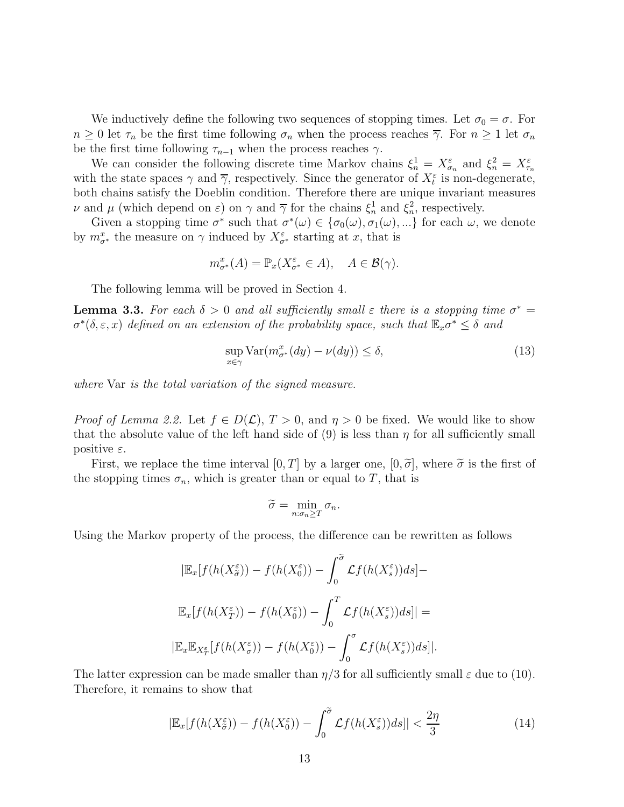We inductively define the following two sequences of stopping times. Let  $\sigma_0 = \sigma$ . For  $n \geq 0$  let  $\tau_n$  be the first time following  $\sigma_n$  when the process reaches  $\overline{\gamma}$ . For  $n \geq 1$  let  $\sigma_n$ be the first time following  $\tau_{n-1}$  when the process reaches  $\gamma$ .

We can consider the following discrete time Markov chains  $\xi_n^1 = X_{\sigma_n}^{\varepsilon}$  and  $\xi_n^2 = X_{\tau_n}^{\varepsilon}$ with the state spaces  $\gamma$  and  $\overline{\gamma}$ , respectively. Since the generator of  $X_t^{\varepsilon}$  is non-degenerate, both chains satisfy the Doeblin condition. Therefore there are unique invariant measures  $\nu$  and  $\mu$  (which depend on  $\varepsilon$ ) on  $\gamma$  and  $\overline{\gamma}$  for the chains  $\xi_n^1$  and  $\xi_n^2$ , respectively.

Given a stopping time  $\sigma^*$  such that  $\sigma^*(\omega) \in {\sigma_0(\omega), \sigma_1(\omega), ...}$  for each  $\omega$ , we denote by  $m^x_{\sigma^*}$  the measure on  $\gamma$  induced by  $X^{\varepsilon}_{\sigma^*}$  starting at x, that is

$$
m^x_{\sigma^*}(A) = \mathbb{P}_x(X^{\varepsilon}_{\sigma^*} \in A), \quad A \in \mathcal{B}(\gamma).
$$

The following lemma will be proved in Section 4.

**Lemma 3.3.** For each  $\delta > 0$  and all sufficiently small  $\varepsilon$  there is a stopping time  $\sigma^* =$  $\sigma^*(\delta, \varepsilon, x)$  defined on an extension of the probability space, such that  $\mathbb{E}_x \sigma^* \leq \delta$  and

$$
\sup_{x \in \gamma} \text{Var}(m_{\sigma^*}^x(dy) - \nu(dy)) \le \delta,\tag{13}
$$

where Var is the total variation of the signed measure.

*Proof of Lemma 2.2.* Let  $f \in D(\mathcal{L}), T > 0$ , and  $\eta > 0$  be fixed. We would like to show that the absolute value of the left hand side of  $(9)$  is less than  $\eta$  for all sufficiently small positive  $\varepsilon$ .

First, we replace the time interval  $[0, T]$  by a larger one,  $[0, \tilde{\sigma}]$ , where  $\tilde{\sigma}$  is the first of the stopping times  $\sigma_n$ , which is greater than or equal to T, that is

$$
\widetilde{\sigma} = \min_{n:\sigma_n \geq T} \sigma_n.
$$

Using the Markov property of the process, the difference can be rewritten as follows

$$
|\mathbb{E}_x[f(h(X_{\tilde{\sigma}}^{\varepsilon})) - f(h(X_0^{\varepsilon})) - \int_0^{\tilde{\sigma}} \mathcal{L}f(h(X_s^{\varepsilon}))ds] -
$$
  

$$
\mathbb{E}_x[f(h(X_T^{\varepsilon})) - f(h(X_0^{\varepsilon})) - \int_0^T \mathcal{L}f(h(X_s^{\varepsilon}))ds]| =
$$
  

$$
|\mathbb{E}_x \mathbb{E}_{X_T^{\varepsilon}}[f(h(X_{\sigma}^{\varepsilon})) - f(h(X_0^{\varepsilon})) - \int_0^{\sigma} \mathcal{L}f(h(X_s^{\varepsilon}))ds]|.
$$

The latter expression can be made smaller than  $\eta/3$  for all sufficiently small  $\varepsilon$  due to (10). Therefore, it remains to show that

$$
|\mathbb{E}_x[f(h(X^\varepsilon_{\sigma})) - f(h(X^\varepsilon_0)) - \int_0^{\widetilde{\sigma}} \mathcal{L}f(h(X^\varepsilon_s))ds]| < \frac{2\eta}{3}
$$
 (14)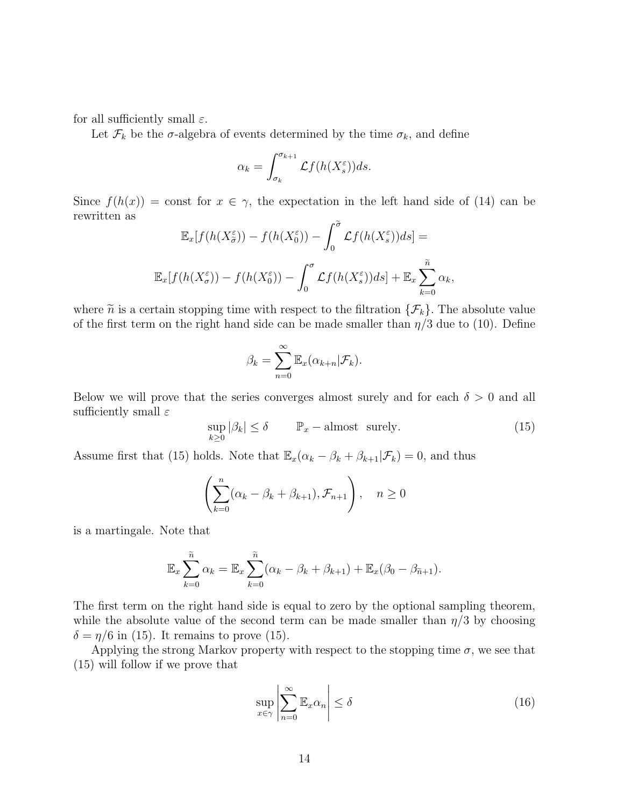for all sufficiently small  $\varepsilon$ .

Let  $\mathcal{F}_k$  be the  $\sigma$ -algebra of events determined by the time  $\sigma_k$ , and define

$$
\alpha_k = \int_{\sigma_k}^{\sigma_{k+1}} \mathcal{L}f(h(X_s^{\varepsilon}))ds.
$$

Since  $f(h(x)) = \text{const}$  for  $x \in \gamma$ , the expectation in the left hand side of (14) can be rewritten as

$$
\mathbb{E}_x[f(h(X_{\tilde{\sigma}}^{\varepsilon})) - f(h(X_0^{\varepsilon})) - \int_0^{\tilde{\sigma}} \mathcal{L}f(h(X_s^{\varepsilon}))ds] =
$$
  

$$
\mathbb{E}_x[f(h(X_{\sigma}^{\varepsilon})) - f(h(X_0^{\varepsilon})) - \int_0^{\sigma} \mathcal{L}f(h(X_s^{\varepsilon}))ds] + \mathbb{E}_x \sum_{k=0}^{\tilde{n}} \alpha_k,
$$

where  $\tilde{n}$  is a certain stopping time with respect to the filtration  $\{\mathcal{F}_k\}$ . The absolute value of the first term on the right hand side can be made smaller than  $\eta/3$  due to (10). Define

$$
\beta_k = \sum_{n=0}^{\infty} \mathbb{E}_x(\alpha_{k+n}|\mathcal{F}_k).
$$

Below we will prove that the series converges almost surely and for each  $\delta > 0$  and all sufficiently small  $\varepsilon$ 

$$
\sup_{k\geq 0} |\beta_k| \leq \delta \qquad \mathbb{P}_x-\text{almost surely.} \tag{15}
$$

Assume first that (15) holds. Note that  $\mathbb{E}_x(\alpha_k - \beta_k + \beta_{k+1}|\mathcal{F}_k) = 0$ , and thus

$$
\left(\sum_{k=0}^n (\alpha_k - \beta_k + \beta_{k+1}), \mathcal{F}_{n+1}\right), \quad n \ge 0
$$

is a martingale. Note that

$$
\mathbb{E}_x \sum_{k=0}^{\widetilde{n}} \alpha_k = \mathbb{E}_x \sum_{k=0}^{\widetilde{n}} (\alpha_k - \beta_k + \beta_{k+1}) + \mathbb{E}_x(\beta_0 - \beta_{\widetilde{n}+1}).
$$

The first term on the right hand side is equal to zero by the optional sampling theorem, while the absolute value of the second term can be made smaller than  $\eta/3$  by choosing  $\delta = \eta/6$  in (15). It remains to prove (15).

Applying the strong Markov property with respect to the stopping time  $\sigma$ , we see that (15) will follow if we prove that

$$
\sup_{x \in \gamma} \left| \sum_{n=0}^{\infty} \mathbb{E}_x \alpha_n \right| \le \delta \tag{16}
$$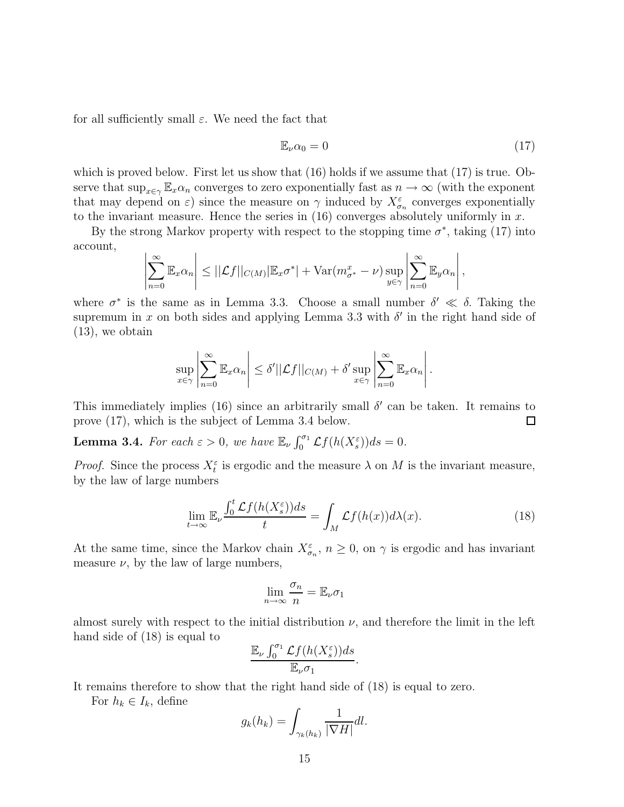for all sufficiently small  $\varepsilon$ . We need the fact that

$$
\mathbb{E}_{\nu}\alpha_0 = 0\tag{17}
$$

which is proved below. First let us show that  $(16)$  holds if we assume that  $(17)$  is true. Observe that  $\sup_{x \in \gamma} \mathbb{E}_x \alpha_n$  converges to zero exponentially fast as  $n \to \infty$  (with the exponent that may depend on  $\varepsilon$ ) since the measure on  $\gamma$  induced by  $X_{\sigma_n}^{\varepsilon}$  converges exponentially to the invariant measure. Hence the series in  $(16)$  converges absolutely uniformly in x.

By the strong Markov property with respect to the stopping time  $\sigma^*$ , taking (17) into account,

$$
\left|\sum_{n=0}^{\infty} \mathbb{E}_x \alpha_n\right| \leq ||\mathcal{L}f||_{C(M)} |\mathbb{E}_x \sigma^*| + \text{Var}(m_{\sigma^*}^x - \nu) \sup_{y \in \gamma} \left|\sum_{n=0}^{\infty} \mathbb{E}_y \alpha_n\right|,
$$

where  $\sigma^*$  is the same as in Lemma 3.3. Choose a small number  $\delta' \ll \delta$ . Taking the supremum in x on both sides and applying Lemma 3.3 with  $\delta'$  in the right hand side of (13), we obtain

$$
\sup_{x \in \gamma} \left| \sum_{n=0}^{\infty} \mathbb{E}_x \alpha_n \right| \leq \delta' ||\mathcal{L}f||_{C(M)} + \delta' \sup_{x \in \gamma} \left| \sum_{n=0}^{\infty} \mathbb{E}_x \alpha_n \right|.
$$

This immediately implies (16) since an arbitrarily small  $\delta'$  can be taken. It remains to prove (17), which is the subject of Lemma 3.4 below.  $\square$ 

**Lemma 3.4.** For each  $\varepsilon > 0$ , we have  $\mathbb{E}_{\nu} \int_0^{\sigma_1} \mathcal{L}f(h(X_s^{\varepsilon})) ds = 0$ .

*Proof.* Since the process  $X_t^{\varepsilon}$  is ergodic and the measure  $\lambda$  on M is the invariant measure, by the law of large numbers

$$
\lim_{t \to \infty} \mathbb{E}_{\nu} \frac{\int_0^t \mathcal{L}f(h(X_s^{\varepsilon}))ds}{t} = \int_M \mathcal{L}f(h(x))d\lambda(x). \tag{18}
$$

At the same time, since the Markov chain  $X_{\sigma_n}^{\varepsilon}$ ,  $n \geq 0$ , on  $\gamma$  is ergodic and has invariant measure  $\nu$ , by the law of large numbers,

$$
\lim_{n \to \infty} \frac{\sigma_n}{n} = \mathbb{E}_{\nu} \sigma_1
$$

almost surely with respect to the initial distribution  $\nu$ , and therefore the limit in the left hand side of (18) is equal to

$$
\frac{\mathbb{E}_{\nu} \int_0^{\sigma_1} \mathcal{L}f(h(X_s^{\varepsilon}))ds}{\mathbb{E}_{\nu} \sigma_1}.
$$

It remains therefore to show that the right hand side of (18) is equal to zero.

For  $h_k \in I_k$ , define

$$
g_k(h_k) = \int_{\gamma_k(h_k)} \frac{1}{|\nabla H|} dl.
$$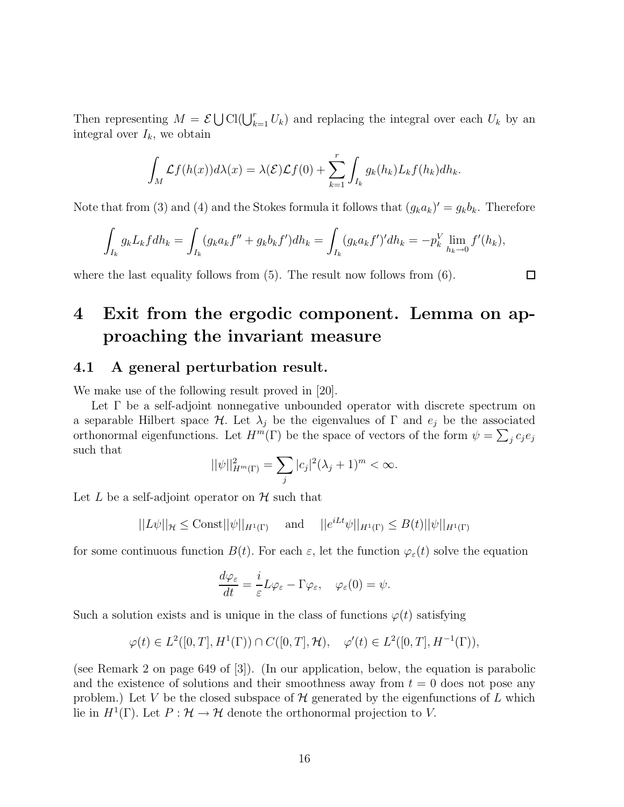Then representing  $M = \mathcal{E} \bigcup \text{Cl}(\bigcup_{k=1}^r U_k)$  and replacing the integral over each  $U_k$  by an integral over  $I_k$ , we obtain

$$
\int_M \mathcal{L}f(h(x))d\lambda(x) = \lambda(\mathcal{E})\mathcal{L}f(0) + \sum_{k=1}^r \int_{I_k} g_k(h_k)L_kf(h_k)dh_k.
$$

Note that from (3) and (4) and the Stokes formula it follows that  $(g_k a_k)' = g_k b_k$ . Therefore

$$
\int_{I_k} g_k L_k f dh_k = \int_{I_k} (g_k a_k f'' + g_k b_k f') dh_k = \int_{I_k} (g_k a_k f')' dh_k = -p_k^V \lim_{h_k \to 0} f'(h_k),
$$

where the last equality follows from  $(5)$ . The result now follows from  $(6)$ .

## **4 Exit from the ergodic component. Lemma on approaching the invariant measure**

#### **4.1 A general perturbation result.**

We make use of the following result proved in [20].

Let Γ be a self-adjoint nonnegative unbounded operator with discrete spectrum on a separable Hilbert space  $\mathcal H$ . Let  $\lambda_j$  be the eigenvalues of  $\Gamma$  and  $e_j$  be the associated orthonormal eigenfunctions. Let  $H^m(\Gamma)$  be the space of vectors of the form  $\psi = \sum_j c_j e_j$ such that

$$
||\psi||_{H^m(\Gamma)}^2 = \sum_j |c_j|^2 (\lambda_j + 1)^m < \infty.
$$

Let L be a self-adjoint operator on  $\mathcal H$  such that

$$
||L\psi||_{\mathcal{H}} \leq \text{Const}||\psi||_{H^1(\Gamma)} \quad \text{and} \quad ||e^{iLt}\psi||_{H^1(\Gamma)} \leq B(t)||\psi||_{H^1(\Gamma)}
$$

for some continuous function  $B(t)$ . For each  $\varepsilon$ , let the function  $\varphi_{\varepsilon}(t)$  solve the equation

$$
\frac{d\varphi_{\varepsilon}}{dt} = \frac{i}{\varepsilon}L\varphi_{\varepsilon} - \Gamma\varphi_{\varepsilon}, \quad \varphi_{\varepsilon}(0) = \psi.
$$

Such a solution exists and is unique in the class of functions  $\varphi(t)$  satisfying

$$
\varphi(t) \in L^2([0,T],H^1(\Gamma)) \cap C([0,T],\mathcal{H}), \quad \varphi'(t) \in L^2([0,T],H^{-1}(\Gamma)),
$$

(see Remark 2 on page 649 of [3]). (In our application, below, the equation is parabolic and the existence of solutions and their smoothness away from  $t = 0$  does not pose any problem.) Let V be the closed subspace of  $\mathcal H$  generated by the eigenfunctions of L which lie in  $H^1(\Gamma)$ . Let  $P: \mathcal{H} \to \mathcal{H}$  denote the orthonormal projection to V.

 $\Box$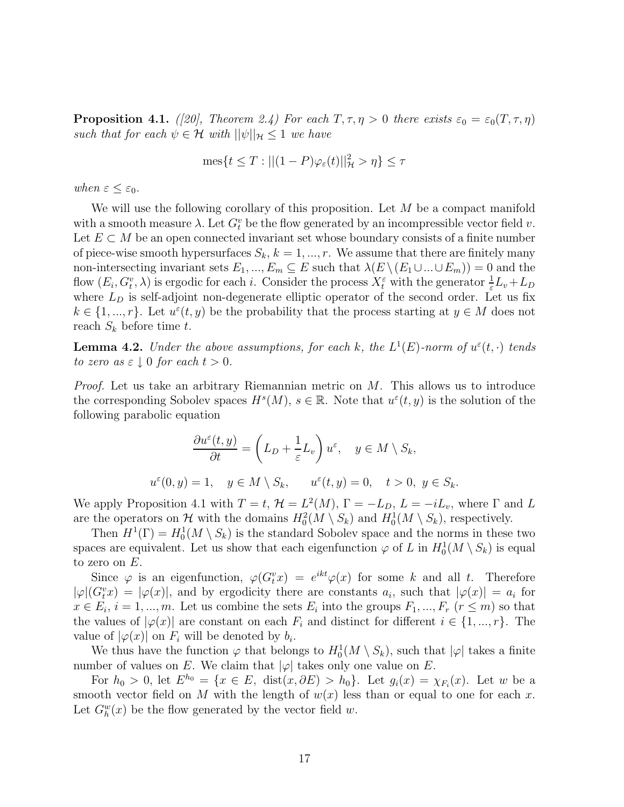**Proposition 4.1.** ([20], Theorem 2.4) For each  $T, \tau, \eta > 0$  there exists  $\varepsilon_0 = \varepsilon_0(T, \tau, \eta)$ such that for each  $\psi \in \mathcal{H}$  with  $||\psi||_{\mathcal{H}} \leq 1$  we have

$$
\operatorname{mes} \{ t \leq T : || (1-P) \varphi_{\varepsilon}(t) ||_{\mathcal{H}}^2 > \eta \} \leq \tau
$$

when  $\varepsilon \leq \varepsilon_0$ .

 $u^{\varepsilon}$ 

We will use the following corollary of this proposition. Let  $M$  be a compact manifold with a smooth measure  $\lambda$ . Let  $G_t^v$  be the flow generated by an incompressible vector field v. Let  $E \subset M$  be an open connected invariant set whose boundary consists of a finite number of piece-wise smooth hypersurfaces  $S_k$ ,  $k = 1, ..., r$ . We assume that there are finitely many non-intersecting invariant sets  $E_1, ..., E_m \subseteq E$  such that  $\lambda(E \setminus (E_1 \cup ... \cup E_m)) = 0$  and the flow  $(E_i, G_i^v, \lambda)$  is ergodic for each i. Consider the process  $X_i^{\varepsilon}$  with the generator  $\frac{1}{\varepsilon}L_v + L_D$ where  $L<sub>D</sub>$  is self-adjoint non-degenerate elliptic operator of the second order. Let us fix  $k \in \{1, ..., r\}$ . Let  $u^{\varepsilon}(t, y)$  be the probability that the process starting at  $y \in M$  does not reach  $S_k$  before time t.

**Lemma 4.2.** Under the above assumptions, for each k, the  $L^1(E)$ -norm of  $u^{\varepsilon}(t, \cdot)$  tends to zero as  $\varepsilon \downarrow 0$  for each  $t > 0$ .

*Proof.* Let us take an arbitrary Riemannian metric on  $M$ . This allows us to introduce the corresponding Sobolev spaces  $H^s(M)$ ,  $s \in \mathbb{R}$ . Note that  $u^{\varepsilon}(t, y)$  is the solution of the following parabolic equation

$$
\frac{\partial u^{\varepsilon}(t,y)}{\partial t} = \left(L_D + \frac{1}{\varepsilon}L_v\right)u^{\varepsilon}, \quad y \in M \setminus S_k,
$$
  
(0,y) = 1,  $y \in M \setminus S_k$ ,  $u^{\varepsilon}(t,y) = 0$ ,  $t > 0$ ,  $y \in S_k$ .

We apply Proposition 4.1 with  $T = t$ ,  $\mathcal{H} = L^2(M)$ ,  $\Gamma = -L_D$ ,  $L = -iL_v$ , where  $\Gamma$  and  $L$ are the operators on H with the domains  $H_0^2(M \setminus S_k)$  and  $H_0^1(M \setminus S_k)$ , respectively.

Then  $H^1(\Gamma) = H_0^1(M \setminus S_k)$  is the standard Sobolev space and the norms in these two spaces are equivalent. Let us show that each eigenfunction  $\varphi$  of L in  $H_0^1(M \setminus S_k)$  is equal to zero on  $E$ .

Since  $\varphi$  is an eigenfunction,  $\varphi(G_t^v x) = e^{ikt} \varphi(x)$  for some k and all t. Therefore  $|\varphi|(G_t^v x) = |\varphi(x)|$ , and by ergodicity there are constants  $a_i$ , such that  $|\varphi(x)| = a_i$  for  $x \in E_i$ ,  $i = 1, ..., m$ . Let us combine the sets  $E_i$  into the groups  $F_1, ..., F_r$   $(r \leq m)$  so that the values of  $|\varphi(x)|$  are constant on each  $F_i$  and distinct for different  $i \in \{1, ..., r\}$ . The value of  $|\varphi(x)|$  on  $F_i$  will be denoted by  $b_i$ .

We thus have the function  $\varphi$  that belongs to  $H_0^1(M \setminus S_k)$ , such that  $|\varphi|$  takes a finite number of values on E. We claim that  $|\varphi|$  takes only one value on E.

For  $h_0 > 0$ , let  $E^{h_0} = \{x \in E, \text{ dist}(x, \partial E) > h_0\}$ . Let  $g_i(x) = \chi_{F_i}(x)$ . Let w be a smooth vector field on M with the length of  $w(x)$  less than or equal to one for each x. Let  $G_h^w(x)$  be the flow generated by the vector field w.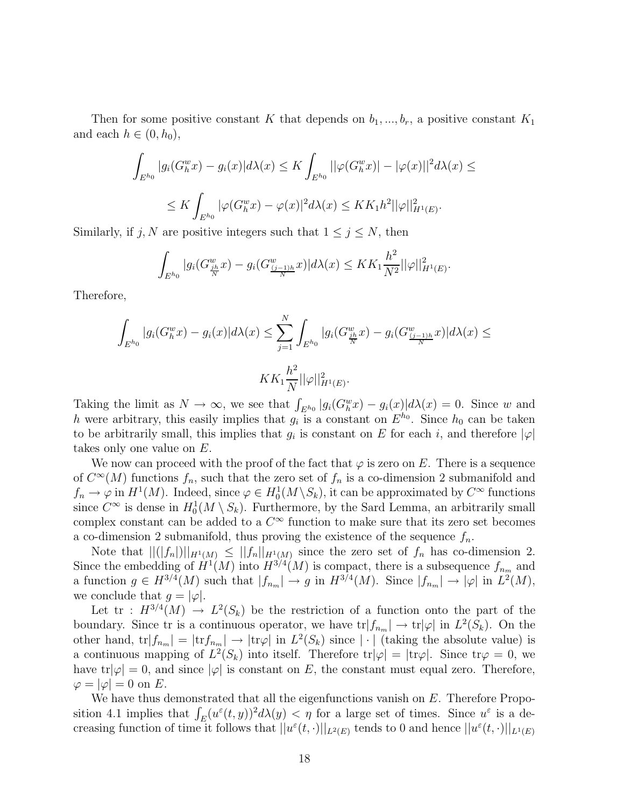Then for some positive constant K that depends on  $b_1, ..., b_r$ , a positive constant  $K_1$ and each  $h \in (0, h_0)$ ,

$$
\int_{E^{h_0}} |g_i(G_h^w x) - g_i(x)|d\lambda(x) \le K \int_{E^{h_0}} ||\varphi(G_h^w x)| - |\varphi(x)||^2 d\lambda(x) \le
$$
  

$$
\le K \int_{E^{h_0}} |\varphi(G_h^w x) - \varphi(x)|^2 d\lambda(x) \le KK_1 h^2 ||\varphi||_{H^1(E)}^2.
$$

Similarly, if j, N are positive integers such that  $1 \le j \le N$ , then

$$
\int_{E^{h_0}} |g_i(G^w_{\frac{jh}{N}}x) - g_i(G^w_{\frac{(j-1)h}{N}}x)|d\lambda(x) \leq KK_1 \frac{h^2}{N^2} ||\varphi||^2_{H^1(E)}.
$$

Therefore,

$$
\int_{E^{h_0}} |g_i(G_h^w x) - g_i(x)| d\lambda(x) \le \sum_{j=1}^N \int_{E^{h_0}} |g_i(G_{\frac{jh}{N}}^w x) - g_i(G_{\frac{(j-1)h}{N}}^w x)| d\lambda(x) \le K K_1 \frac{h^2}{N} ||\varphi||_{H^1(E)}^2.
$$

Taking the limit as  $N \to \infty$ , we see that  $\int_{E^{h_0}} |g_i(G_h^w x) - g_i(x)| d\lambda(x) = 0$ . Since w and h were arbitrary, this easily implies that  $g_i$  is a constant on  $E^{h_0}$ . Since  $h_0$  can be taken to be arbitrarily small, this implies that  $g_i$  is constant on E for each i, and therefore  $|\varphi|$ takes only one value on E.

We now can proceed with the proof of the fact that  $\varphi$  is zero on E. There is a sequence of  $C^{\infty}(M)$  functions  $f_n$ , such that the zero set of  $f_n$  is a co-dimension 2 submanifold and  $f_n \to \varphi$  in  $H^1(M)$ . Indeed, since  $\varphi \in H_0^1(M \setminus S_k)$ , it can be approximated by  $C^{\infty}$  functions since  $C^{\infty}$  is dense in  $H_0^1(M \setminus S_k)$ . Furthermore, by the Sard Lemma, an arbitrarily small complex constant can be added to a  $C^{\infty}$  function to make sure that its zero set becomes a co-dimension 2 submanifold, thus proving the existence of the sequence  $f_n$ .

Note that  $||(|f_n||)||_{H^1(M)} \leq ||f_n||_{H^1(M)}$  since the zero set of  $f_n$  has co-dimension 2. Since the embedding of  $H^1(M)$  into  $H^{3/4}(M)$  is compact, there is a subsequence  $f_{n_m}$  and a function  $g \in H^{3/4}(M)$  such that  $|f_{n_m}| \to g$  in  $H^{3/4}(M)$ . Since  $|f_{n_m}| \to |\varphi|$  in  $L^2(M)$ , we conclude that  $q = |\varphi|$ .

Let  $tr : H^{3/4}(M) \to L^2(S_k)$  be the restriction of a function onto the part of the boundary. Since tr is a continuous operator, we have  $\text{tr}|f_{n_m}| \to \text{tr}|\varphi|$  in  $L^2(S_k)$ . On the other hand,  $tr|f_{n_m}| = |tr f_{n_m}| \rightarrow |tr\varphi|$  in  $L^2(S_k)$  since  $|\cdot|$  (taking the absolute value) is a continuous mapping of  $L^2(S_k)$  into itself. Therefore tr $|\varphi| = |{\rm tr}\varphi|$ . Since  ${\rm tr}\varphi = 0$ , we have tr $|\varphi|=0$ , and since  $|\varphi|$  is constant on E, the constant must equal zero. Therefore,  $\varphi = |\varphi| = 0$  on E.

We have thus demonstrated that all the eigenfunctions vanish on E. Therefore Proposition 4.1 implies that  $\int_E (u^{\varepsilon}(t,y))^2 d\lambda(y) < \eta$  for a large set of times. Since  $u^{\varepsilon}$  is a decreasing function of time it follows that  $||u^{\varepsilon}(t,\cdot)||_{L^{2}(E)}$  tends to 0 and hence  $||u^{\varepsilon}(t,\cdot)||_{L^{1}(E)}$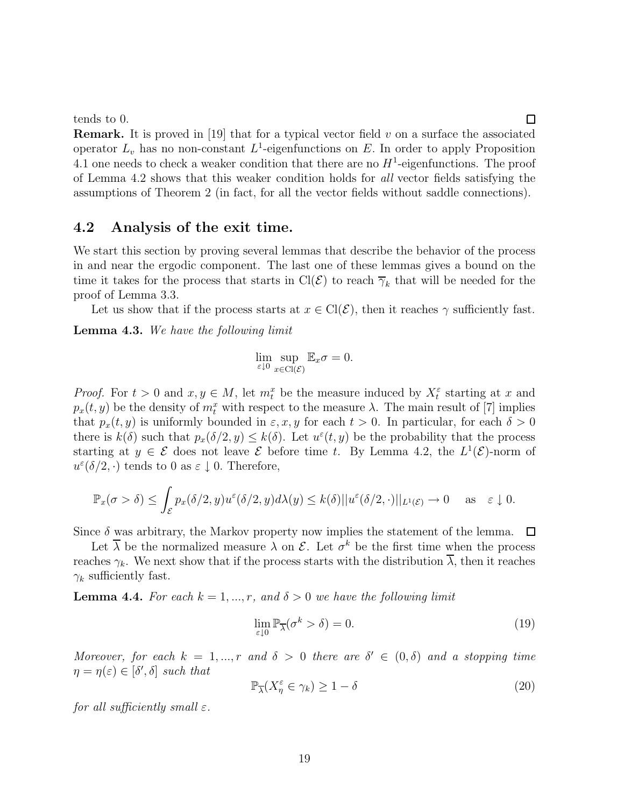tends to 0.

**Remark.** It is proved in [19] that for a typical vector field  $v$  on a surface the associated operator  $L_v$  has no non-constant  $L^1$ -eigenfunctions on E. In order to apply Proposition 4.1 one needs to check a weaker condition that there are no  $H^1$ -eigenfunctions. The proof of Lemma 4.2 shows that this weaker condition holds for all vector fields satisfying the assumptions of Theorem 2 (in fact, for all the vector fields without saddle connections).

#### **4.2 Analysis of the exit time.**

We start this section by proving several lemmas that describe the behavior of the process in and near the ergodic component. The last one of these lemmas gives a bound on the time it takes for the process that starts in Cl( $\mathcal{E}$ ) to reach  $\overline{\gamma}_k$  that will be needed for the proof of Lemma 3.3.

Let us show that if the process starts at  $x \in \text{Cl}(\mathcal{E})$ , then it reaches  $\gamma$  sufficiently fast.

**Lemma 4.3.** We have the following limit

$$
\lim_{\varepsilon \downarrow 0} \sup_{x \in \text{Cl}(\mathcal{E})} \mathbb{E}_x \sigma = 0.
$$

*Proof.* For  $t > 0$  and  $x, y \in M$ , let  $m_t^x$  be the measure induced by  $X_t^{\varepsilon}$  starting at x and  $p_x(t, y)$  be the density of  $m_t^x$  with respect to the measure  $\lambda$ . The main result of [7] implies that  $p_x(t, y)$  is uniformly bounded in  $\varepsilon, x, y$  for each  $t > 0$ . In particular, for each  $\delta > 0$ there is  $k(\delta)$  such that  $p_x(\delta/2, y) \leq k(\delta)$ . Let  $u^{\varepsilon}(t, y)$  be the probability that the process starting at  $y \in \mathcal{E}$  does not leave  $\mathcal{E}$  before time t. By Lemma 4.2, the  $L^1(\mathcal{E})$ -norm of  $u^{\varepsilon}(\delta/2, \cdot)$  tends to 0 as  $\varepsilon \downarrow$  0. Therefore,

$$
\mathbb{P}_x(\sigma > \delta) \le \int_{\mathcal{E}} p_x(\delta/2, y) u^{\varepsilon}(\delta/2, y) d\lambda(y) \le k(\delta) ||u^{\varepsilon}(\delta/2, \cdot)||_{L^1(\mathcal{E})} \to 0 \quad \text{as} \quad \varepsilon \downarrow 0.
$$

Since  $\delta$  was arbitrary, the Markov property now implies the statement of the lemma.  $\Box$ 

Let  $\overline{\lambda}$  be the normalized measure  $\lambda$  on  $\mathcal{E}$ . Let  $\sigma^k$  be the first time when the process reaches  $\gamma_k$ . We next show that if the process starts with the distribution  $\overline{\lambda}$ , then it reaches  $\gamma_k$  sufficiently fast.

**Lemma 4.4.** For each  $k = 1, ..., r$ , and  $\delta > 0$  we have the following limit

$$
\lim_{\varepsilon \downarrow 0} \mathbb{P}_{\overline{\lambda}}(\sigma^k > \delta) = 0. \tag{19}
$$

Moreover, for each  $k = 1, ..., r$  and  $\delta > 0$  there are  $\delta' \in (0, \delta)$  and a stopping time  $\eta = \eta(\varepsilon) \in [\delta', \delta]$  such that

$$
\mathbb{P}_{\overline{\lambda}}(X_{\eta}^{\varepsilon} \in \gamma_k) \ge 1 - \delta \tag{20}
$$

for all sufficiently small  $\varepsilon$ .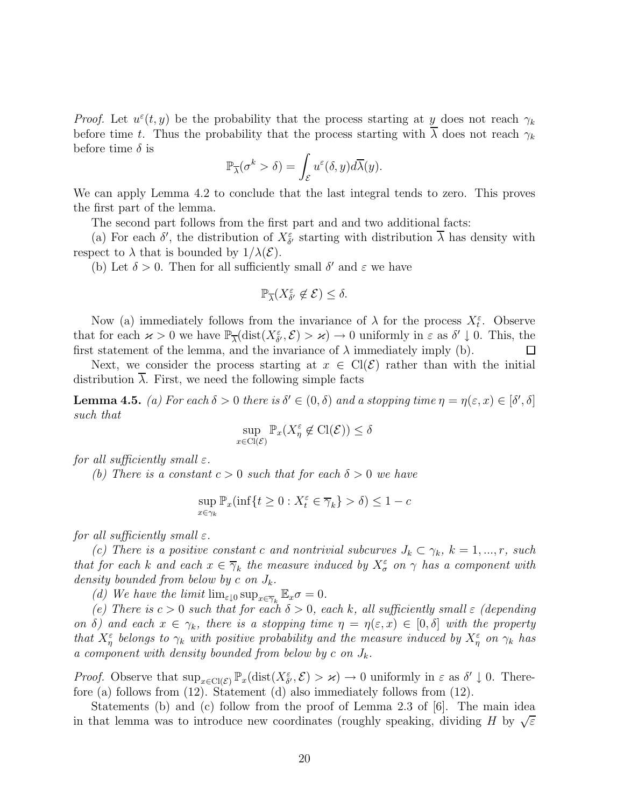*Proof.* Let  $u^{\varepsilon}(t, y)$  be the probability that the process starting at y does not reach  $\gamma_k$ before time t. Thus the probability that the process starting with  $\overline{\lambda}$  does not reach  $\gamma_k$ before time  $\delta$  is

$$
\mathbb{P}_{\overline{\lambda}}(\sigma^k > \delta) = \int_{\mathcal{E}} u^{\varepsilon}(\delta, y) d\overline{\lambda}(y).
$$

We can apply Lemma 4.2 to conclude that the last integral tends to zero. This proves the first part of the lemma.

The second part follows from the first part and and two additional facts:

(a) For each  $\delta'$ , the distribution of  $X_{\delta'}^{\varepsilon}$  starting with distribution  $\overline{\lambda}$  has density with respect to  $\lambda$  that is bounded by  $1/\lambda(\mathcal{E})$ .

(b) Let  $\delta > 0$ . Then for all sufficiently small  $\delta'$  and  $\varepsilon$  we have

$$
\mathbb{P}_{\overline{\lambda}}(X_{\delta'}^{\varepsilon} \not\in \mathcal{E}) \leq \delta.
$$

Now (a) immediately follows from the invariance of  $\lambda$  for the process  $X_t^{\varepsilon}$ . Observe that for each  $\varkappa > 0$  we have  $\mathbb{P}_{\overline{\lambda}}(\text{dist}(X_{\delta'}^{\varepsilon}, \mathcal{E}) > \varkappa) \to 0$  uniformly in  $\varepsilon$  as  $\delta' \downarrow 0$ . This, the first statement of the lemma, and the invariance of  $\lambda$  immediately imply (b).  $\Box$ 

Next, we consider the process starting at  $x \in \text{Cl}(\mathcal{E})$  rather than with the initial distribution  $\lambda$ . First, we need the following simple facts

**Lemma 4.5.** (a) For each  $\delta > 0$  there is  $\delta' \in (0, \delta)$  and a stopping time  $\eta = \eta(\varepsilon, x) \in [\delta', \delta]$ such that

$$
\sup_{x \in \text{Cl}(\mathcal{E})} \mathbb{P}_x(X^\varepsilon_\eta \not\in \text{Cl}(\mathcal{E})) \le \delta
$$

for all sufficiently small  $\varepsilon$ .

(b) There is a constant  $c > 0$  such that for each  $\delta > 0$  we have

$$
\sup_{x \in \gamma_k} \mathbb{P}_x(\inf\{t \ge 0 : X_t^{\varepsilon} \in \overline{\gamma}_k\} > \delta) \le 1 - c
$$

for all sufficiently small  $\varepsilon$ .

(c) There is a positive constant c and nontrivial subcurves  $J_k \subset \gamma_k$ ,  $k = 1, ..., r$ , such that for each k and each  $x \in \overline{\gamma}_k$  the measure induced by  $X_{\sigma}^{\varepsilon}$  on  $\gamma$  has a component with density bounded from below by c on  $J_k$ .

(d) We have the limit  $\lim_{\varepsilon \downarrow 0} \sup_{x \in \overline{\gamma}_k} \mathbb{E}_x \sigma = 0.$ 

(e) There is  $c > 0$  such that for each  $\delta > 0$ , each k, all sufficiently small  $\varepsilon$  (depending on  $\delta$ ) and each  $x \in \gamma_k$ , there is a stopping time  $\eta = \eta(\varepsilon, x) \in [0, \delta]$  with the property that  $X^{\varepsilon}_{\eta}$  belongs to  $\gamma_k$  with positive probability and the measure induced by  $X^{\varepsilon}_{\eta}$  on  $\gamma_k$  has a component with density bounded from below by c on  $J_k$ .

Proof. Observe that  $\sup_{x \in \text{Cl}(\mathcal{E})} \mathbb{P}_x(\text{dist}(X_{\delta}^{\varepsilon}, \mathcal{E}) > \varkappa) \to 0$  uniformly in  $\varepsilon$  as  $\delta' \downarrow 0$ . Therefore (a) follows from (12). Statement (d) also immediately follows from (12).

Statements (b) and (c) follow from the proof of Lemma 2.3 of [6]. The main idea in that lemma was to introduce new coordinates (roughly speaking, dividing H by  $\sqrt{\varepsilon}$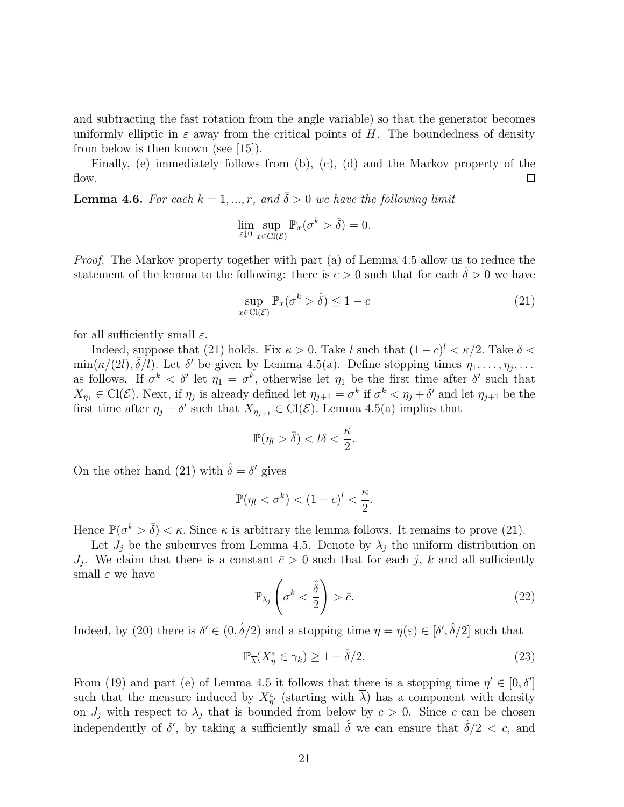and subtracting the fast rotation from the angle variable) so that the generator becomes uniformly elliptic in  $\varepsilon$  away from the critical points of H. The boundedness of density from below is then known (see [15]).

Finally, (e) immediately follows from (b), (c), (d) and the Markov property of the flow. Π

**Lemma 4.6.** For each  $k = 1, ..., r$ , and  $\overline{\delta} > 0$  we have the following limit

$$
\lim_{\varepsilon \downarrow 0} \sup_{x \in \text{Cl}(\mathcal{E})} \mathbb{P}_x(\sigma^k > \overline{\delta}) = 0.
$$

Proof. The Markov property together with part (a) of Lemma 4.5 allow us to reduce the statement of the lemma to the following: there is  $c > 0$  such that for each  $\delta > 0$  we have

$$
\sup_{x \in \text{Cl}(\mathcal{E})} \mathbb{P}_x(\sigma^k > \hat{\delta}) \le 1 - c \tag{21}
$$

for all sufficiently small  $\varepsilon$ .

Indeed, suppose that (21) holds. Fix  $\kappa > 0$ . Take l such that  $(1 - c)^{l} < \kappa/2$ . Take  $\delta <$  $\min(\kappa/(2l), \bar{\delta}/l)$ . Let  $\delta'$  be given by Lemma 4.5(a). Define stopping times  $\eta_1, \ldots, \eta_j, \ldots$ as follows. If  $\sigma^k < \delta'$  let  $\eta_1 = \sigma^k$ , otherwise let  $\eta_1$  be the first time after  $\delta'$  such that  $X_{\eta_1} \in \mathrm{Cl}(\mathcal{E})$ . Next, if  $\eta_j$  is already defined let  $\eta_{j+1} = \sigma^k$  if  $\sigma^k < \eta_j + \delta'$  and let  $\eta_{j+1}$  be the first time after  $\eta_j + \delta'$  such that  $X_{\eta_{j+1}} \in \text{Cl}(\mathcal{E})$ . Lemma 4.5(a) implies that

$$
\mathbb{P}(\eta_l > \bar{\delta}) < l\delta < \frac{\kappa}{2}.
$$

On the other hand (21) with  $\hat{\delta} = \delta'$  gives

$$
\mathbb{P}(\eta_l < \sigma^k) < (1-c)^l < \frac{\kappa}{2}.
$$

Hence  $\mathbb{P}(\sigma^k > \overline{\delta}) < \kappa$ . Since  $\kappa$  is arbitrary the lemma follows. It remains to prove (21).

Let  $J_i$  be the subcurves from Lemma 4.5. Denote by  $\lambda_i$  the uniform distribution on  $J_i$ . We claim that there is a constant  $\bar{c} > 0$  such that for each j, k and all sufficiently small  $\varepsilon$  we have

$$
\mathbb{P}_{\lambda_j}\left(\sigma^k < \frac{\hat{\delta}}{2}\right) > \bar{c}.\tag{22}
$$

Indeed, by (20) there is  $\delta' \in (0, \hat{\delta}/2)$  and a stopping time  $\eta = \eta(\varepsilon) \in [\delta', \hat{\delta}/2]$  such that

$$
\mathbb{P}_{\overline{\lambda}}(X_{\eta}^{\varepsilon} \in \gamma_{k}) \ge 1 - \hat{\delta}/2. \tag{23}
$$

From (19) and part (e) of Lemma 4.5 it follows that there is a stopping time  $\eta' \in [0, \delta']$ such that the measure induced by  $X_{\eta'}^{\varepsilon}$  (starting with  $\overline{\lambda}$ ) has a component with density on  $J_j$  with respect to  $\lambda_j$  that is bounded from below by  $c > 0$ . Since c can be chosen independently of  $\delta'$ , by taking a sufficiently small  $\hat{\delta}$  we can ensure that  $\hat{\delta}/2 < c$ , and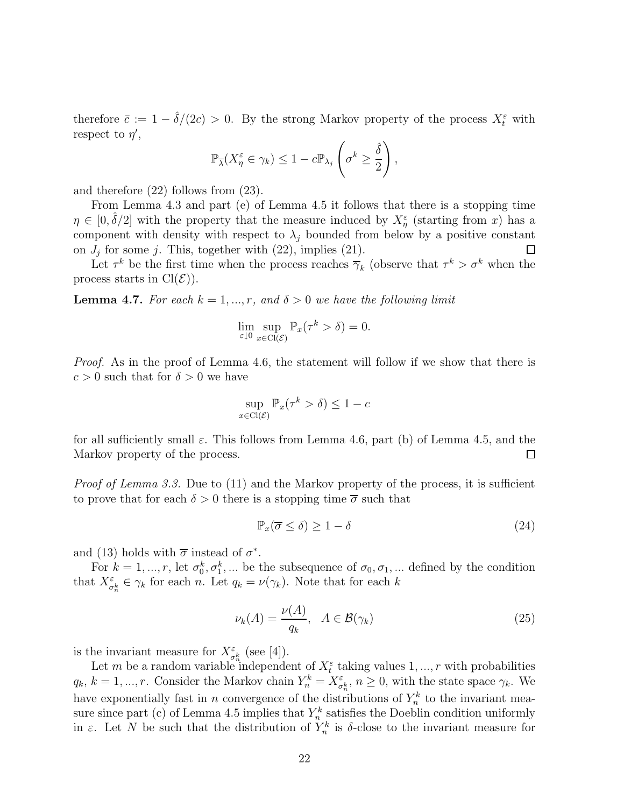therefore  $\bar{c} := 1 - \hat{\delta}/(2c) > 0$ . By the strong Markov property of the process  $X_t^{\varepsilon}$  with respect to  $\eta'$ ,

$$
\mathbb{P}_{\overline{\lambda}}(X_{\eta}^{\varepsilon} \in \gamma_{k}) \leq 1 - c \mathbb{P}_{\lambda_{j}}\left(\sigma^{k} \geq \frac{\hat{\delta}}{2}\right),
$$

and therefore (22) follows from (23).

From Lemma 4.3 and part (e) of Lemma 4.5 it follows that there is a stopping time  $\eta \in [0, \hat{\delta}/2]$  with the property that the measure induced by  $X_{\eta}^{\varepsilon}$  (starting from x) has a component with density with respect to  $\lambda_j$  bounded from below by a positive constant on  $J_j$  for some j. This, together with (22), implies (21). □

Let  $\tau^k$  be the first time when the process reaches  $\overline{\gamma}_k$  (observe that  $\tau^k > \sigma^k$  when the process starts in  $Cl(\mathcal{E})$ .

**Lemma 4.7.** For each  $k = 1, ..., r$ , and  $\delta > 0$  we have the following limit

$$
\lim_{\varepsilon \downarrow 0} \sup_{x \in \text{Cl}(\mathcal{E})} \mathbb{P}_x(\tau^k > \delta) = 0.
$$

Proof. As in the proof of Lemma 4.6, the statement will follow if we show that there is  $c > 0$  such that for  $\delta > 0$  we have

$$
\sup_{x \in \text{Cl}(\mathcal{E})} \mathbb{P}_x(\tau^k > \delta) \le 1 - c
$$

for all sufficiently small  $\varepsilon$ . This follows from Lemma 4.6, part (b) of Lemma 4.5, and the Markov property of the process. □

*Proof of Lemma 3.3.* Due to (11) and the Markov property of the process, it is sufficient to prove that for each  $\delta > 0$  there is a stopping time  $\overline{\sigma}$  such that

$$
\mathbb{P}_x(\overline{\sigma} \le \delta) \ge 1 - \delta \tag{24}
$$

and (13) holds with  $\bar{\sigma}$  instead of  $\sigma^*$ .

For  $k = 1, ..., r$ , let  $\sigma_0^k, \sigma_1^k, ...$  be the subsequence of  $\sigma_0, \sigma_1, ...$  defined by the condition that  $X_{\sigma_n^k}^{\varepsilon} \in \gamma_k$  for each n. Let  $q_k = \nu(\gamma_k)$ . Note that for each k

$$
\nu_k(A) = \frac{\nu(A)}{q_k}, \quad A \in \mathcal{B}(\gamma_k)
$$
\n(25)

is the invariant measure for  $X_{\sigma_n^k}^{\varepsilon}$  (see [4]).

Let m be a random variable independent of  $X_t^{\varepsilon}$  taking values  $1, ..., r$  with probabilities  $q_k, k = 1, ..., r$ . Consider the Markov chain  $Y_n^k = X_{\sigma_n^k}^{\varepsilon}, n \ge 0$ , with the state space  $\gamma_k$ . We have exponentially fast in n convergence of the distributions of  $Y_n^k$  to the invariant measure since part (c) of Lemma 4.5 implies that  $Y_n^k$  satisfies the Doeblin condition uniformly in  $\varepsilon$ . Let N be such that the distribution of  $Y_n^k$  is  $\delta$ -close to the invariant measure for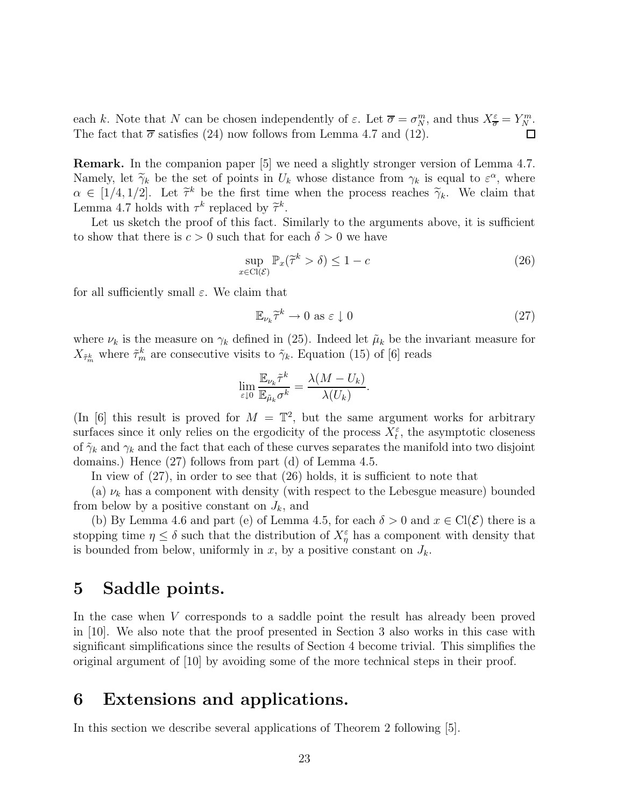each k. Note that N can be chosen independently of  $\varepsilon$ . Let  $\overline{\sigma} = \sigma_N^m$ , and thus  $X^{\varepsilon}_{\overline{\sigma}} = Y^m_N$ . The fact that  $\bar{\sigma}$  satisfies (24) now follows from Lemma 4.7 and (12).  $\Box$ 

**Remark.** In the companion paper [5] we need a slightly stronger version of Lemma 4.7. Namely, let  $\widetilde{\gamma}_k$  be the set of points in  $U_k$  whose distance from  $\gamma_k$  is equal to  $\varepsilon^{\alpha}$ , where  $\alpha \in [1/4, 1/2]$ . Let  $\tilde{\tau}^k$  be the first time when the process reaches  $\tilde{\gamma}_k$ . We claim that Lemma 4.7 holds with  $\tau^k$  replaced by  $\tilde{\tau}^k$ .

Let us sketch the proof of this fact. Similarly to the arguments above, it is sufficient to show that there is  $c > 0$  such that for each  $\delta > 0$  we have

$$
\sup_{x \in \text{Cl}(\mathcal{E})} \mathbb{P}_x(\tilde{\tau}^k > \delta) \le 1 - c \tag{26}
$$

for all sufficiently small  $\varepsilon$ . We claim that

$$
\mathbb{E}_{\nu_k}\widetilde{\tau}^k \to 0 \text{ as } \varepsilon \downarrow 0 \tag{27}
$$

where  $\nu_k$  is the measure on  $\gamma_k$  defined in (25). Indeed let  $\tilde{\mu}_k$  be the invariant measure for  $X_{\tilde{\tau}_{m}^{k}}$  where  $\tilde{\tau}_{m}^{k}$  are consecutive visits to  $\tilde{\gamma}_{k}$ . Equation (15) of [6] reads

$$
\lim_{\varepsilon \downarrow 0} \frac{\mathbb{E}_{\nu_k} \tilde{\tau}^k}{\mathbb{E}_{\tilde{\mu}_k} \sigma^k} = \frac{\lambda (M - U_k)}{\lambda (U_k)}.
$$

(In [6] this result is proved for  $M = \mathbb{T}^2$ , but the same argument works for arbitrary surfaces since it only relies on the ergodicity of the process  $X_t^{\varepsilon}$ , the asymptotic closeness of  $\tilde{\gamma}_k$  and  $\gamma_k$  and the fact that each of these curves separates the manifold into two disjoint domains.) Hence (27) follows from part (d) of Lemma 4.5.

In view of  $(27)$ , in order to see that  $(26)$  holds, it is sufficient to note that

(a)  $\nu_k$  has a component with density (with respect to the Lebesgue measure) bounded from below by a positive constant on  $J_k$ , and

(b) By Lemma 4.6 and part (e) of Lemma 4.5, for each  $\delta > 0$  and  $x \in \text{Cl}(\mathcal{E})$  there is a stopping time  $\eta \leq \delta$  such that the distribution of  $X_{\eta}^{\varepsilon}$  has a component with density that is bounded from below, uniformly in x, by a positive constant on  $J_k$ .

### **5 Saddle points.**

In the case when V corresponds to a saddle point the result has already been proved in [10]. We also note that the proof presented in Section 3 also works in this case with significant simplifications since the results of Section 4 become trivial. This simplifies the original argument of [10] by avoiding some of the more technical steps in their proof.

### **6 Extensions and applications.**

In this section we describe several applications of Theorem 2 following [5].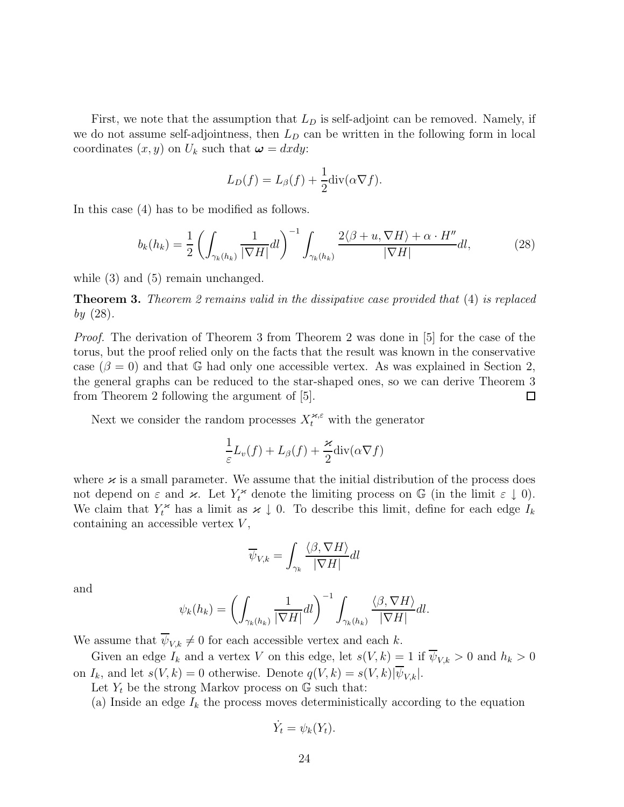First, we note that the assumption that  $L<sub>D</sub>$  is self-adjoint can be removed. Namely, if we do not assume self-adjointness, then  $L<sub>D</sub>$  can be written in the following form in local coordinates  $(x, y)$  on  $U_k$  such that  $\boldsymbol{\omega} = dxdy$ :

$$
L_D(f) = L_{\beta}(f) + \frac{1}{2} \text{div}(\alpha \nabla f).
$$

In this case (4) has to be modified as follows.

$$
b_k(h_k) = \frac{1}{2} \left( \int_{\gamma_k(h_k)} \frac{1}{|\nabla H|} dl \right)^{-1} \int_{\gamma_k(h_k)} \frac{2\langle \beta + u, \nabla H \rangle + \alpha \cdot H''}{|\nabla H|} dl, \tag{28}
$$

while  $(3)$  and  $(5)$  remain unchanged.

**Theorem 3.** Theorem 2 remains valid in the dissipative case provided that (4) is replaced  $by (28).$ 

Proof. The derivation of Theorem 3 from Theorem 2 was done in [5] for the case of the torus, but the proof relied only on the facts that the result was known in the conservative case ( $\beta = 0$ ) and that G had only one accessible vertex. As was explained in Section 2, the general graphs can be reduced to the star-shaped ones, so we can derive Theorem 3 from Theorem 2 following the argument of [5]. □

Next we consider the random processes  $X_t^{\varkappa,\varepsilon}$  with the generator

$$
\frac{1}{\varepsilon}L_v(f) + L_\beta(f) + \frac{\varkappa}{2}div(\alpha \nabla f)
$$

where  $\varkappa$  is a small parameter. We assume that the initial distribution of the process does not depend on  $\varepsilon$  and  $\varkappa$ . Let  $Y_t^*$  denote the limiting process on  $\mathbb G$  (in the limit  $\varepsilon \downarrow 0$ ). We claim that  $Y_t^*$  has a limit as  $\varkappa \downarrow 0$ . To describe this limit, define for each edge  $I_k$ containing an accessible vertex  $V$ ,

$$
\overline{\psi}_{V,k} = \int_{\gamma_k} \frac{\langle \beta, \nabla H \rangle}{|\nabla H|} dl
$$

and

$$
\psi_k(h_k) = \left(\int_{\gamma_k(h_k)} \frac{1}{|\nabla H|} dl\right)^{-1} \int_{\gamma_k(h_k)} \frac{\langle \beta, \nabla H \rangle}{|\nabla H|} dl.
$$

We assume that  $\overline{\psi}_{V,k} \neq 0$  for each accessible vertex and each k.

Given an edge  $I_k$  and a vertex V on this edge, let  $s(V, k) = 1$  if  $\overline{\psi}_{V, k} > 0$  and  $h_k > 0$ on  $I_k$ , and let  $s(V, k) = 0$  otherwise. Denote  $q(V, k) = s(V, k)|\psi_{V,k}|$ .

Let  $Y_t$  be the strong Markov process on  $\mathbb{G}$  such that:

(a) Inside an edge  $I_k$  the process moves deterministically according to the equation

$$
\dot{Y}_t = \psi_k(Y_t).
$$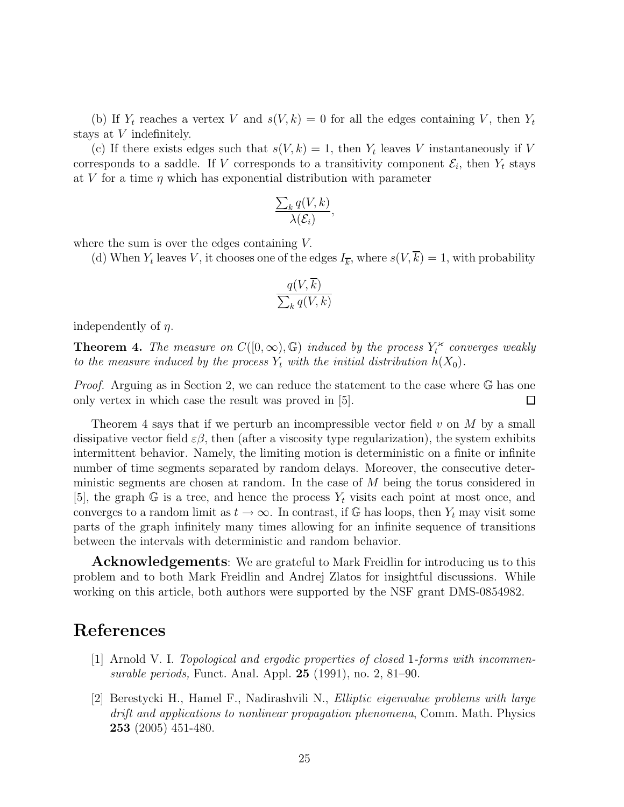(b) If  $Y_t$  reaches a vertex V and  $s(V, k) = 0$  for all the edges containing V, then  $Y_t$ stays at V indefinitely.

(c) If there exists edges such that  $s(V, k) = 1$ , then  $Y_t$  leaves V instantaneously if V corresponds to a saddle. If V corresponds to a transitivity component  $\mathcal{E}_i$ , then  $Y_t$  stays at V for a time  $\eta$  which has exponential distribution with parameter

$$
\frac{\sum_{k} q(V,k)}{\lambda(\mathcal{E}_i)},
$$

where the sum is over the edges containing V.

(d) When  $Y_t$  leaves V, it chooses one of the edges  $I_{\overline{k}}$ , where  $s(V,\overline{k}) = 1$ , with probability

$$
\frac{q(V,k)}{\sum_{k} q(V,k)}
$$

independently of  $\eta$ .

**Theorem 4.** The measure on  $C([0,\infty),\mathbb{G})$  induced by the process  $Y_t^{\infty}$  converges weakly to the measure induced by the process  $Y_t$  with the initial distribution  $h(X_0)$ .

Proof. Arguing as in Section 2, we can reduce the statement to the case where G has one only vertex in which case the result was proved in [5].  $\Box$ 

Theorem 4 says that if we perturb an incompressible vector field  $v$  on M by a small dissipative vector field  $\varepsilon\beta$ , then (after a viscosity type regularization), the system exhibits intermittent behavior. Namely, the limiting motion is deterministic on a finite or infinite number of time segments separated by random delays. Moreover, the consecutive deterministic segments are chosen at random. In the case of M being the torus considered in [5], the graph G is a tree, and hence the process  $Y_t$  visits each point at most once, and converges to a random limit as  $t \to \infty$ . In contrast, if G has loops, then  $Y_t$  may visit some parts of the graph infinitely many times allowing for an infinite sequence of transitions between the intervals with deterministic and random behavior.

**Acknowledgements**: We are grateful to Mark Freidlin for introducing us to this problem and to both Mark Freidlin and Andrej Zlatos for insightful discussions. While working on this article, both authors were supported by the NSF grant DMS-0854982.

## **References**

- [1] Arnold V. I. Topological and ergodic properties of closed 1-forms with incommensurable periods, Funct. Anal. Appl. **25** (1991), no. 2, 81–90.
- [2] Berestycki H., Hamel F., Nadirashvili N., Elliptic eigenvalue problems with large drift and applications to nonlinear propagation phenomena, Comm. Math. Physics **253** (2005) 451-480.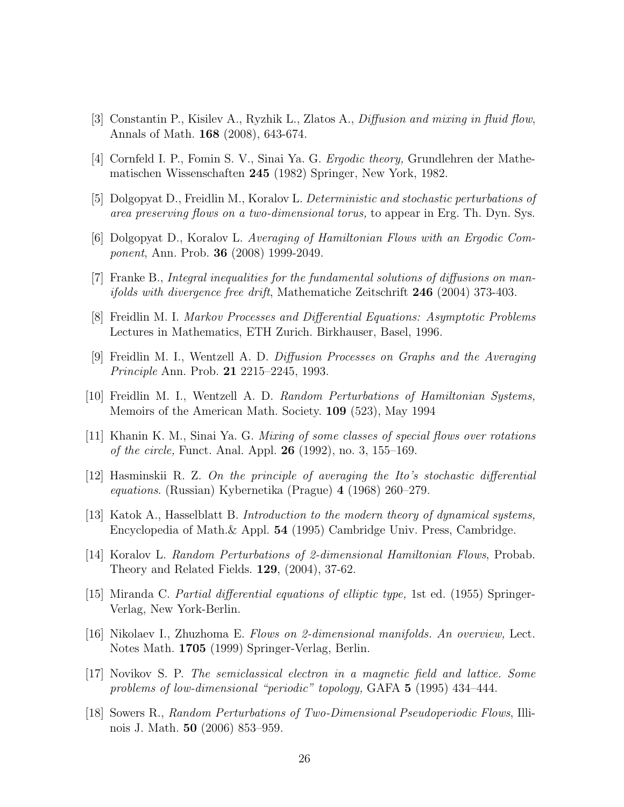- [3] Constantin P., Kisilev A., Ryzhik L., Zlatos A., Diffusion and mixing in fluid flow, Annals of Math. **168** (2008), 643-674.
- [4] Cornfeld I. P., Fomin S. V., Sinai Ya. G. Ergodic theory, Grundlehren der Mathematischen Wissenschaften **245** (1982) Springer, New York, 1982.
- [5] Dolgopyat D., Freidlin M., Koralov L. Deterministic and stochastic perturbations of area preserving flows on a two-dimensional torus, to appear in Erg. Th. Dyn. Sys.
- [6] Dolgopyat D., Koralov L. Averaging of Hamiltonian Flows with an Ergodic Component, Ann. Prob. **36** (2008) 1999-2049.
- [7] Franke B., Integral inequalities for the fundamental solutions of diffusions on manifolds with divergence free drift, Mathematiche Zeitschrift **246** (2004) 373-403.
- [8] Freidlin M. I. Markov Processes and Differential Equations: Asymptotic Problems Lectures in Mathematics, ETH Zurich. Birkhauser, Basel, 1996.
- [9] Freidlin M. I., Wentzell A. D. Diffusion Processes on Graphs and the Averaging Principle Ann. Prob. **21** 2215–2245, 1993.
- [10] Freidlin M. I., Wentzell A. D. Random Perturbations of Hamiltonian Systems, Memoirs of the American Math. Society. **109** (523), May 1994
- [11] Khanin K. M., Sinai Ya. G. Mixing of some classes of special flows over rotations of the circle, Funct. Anal. Appl. **26** (1992), no. 3, 155–169.
- [12] Hasminskii R. Z. On the principle of averaging the Ito's stochastic differential equations. (Russian) Kybernetika (Prague) **4** (1968) 260–279.
- [13] Katok A., Hasselblatt B. Introduction to the modern theory of dynamical systems, Encyclopedia of Math.& Appl. **54** (1995) Cambridge Univ. Press, Cambridge.
- [14] Koralov L. Random Perturbations of 2-dimensional Hamiltonian Flows, Probab. Theory and Related Fields. **129**, (2004), 37-62.
- [15] Miranda C. Partial differential equations of elliptic type, 1st ed. (1955) Springer-Verlag, New York-Berlin.
- [16] Nikolaev I., Zhuzhoma E. Flows on 2-dimensional manifolds. An overview, Lect. Notes Math. **1705** (1999) Springer-Verlag, Berlin.
- [17] Novikov S. P. The semiclassical electron in a magnetic field and lattice. Some problems of low-dimensional "periodic" topology, GAFA **5** (1995) 434–444.
- [18] Sowers R., Random Perturbations of Two-Dimensional Pseudoperiodic Flows, Illinois J. Math. **50** (2006) 853–959.